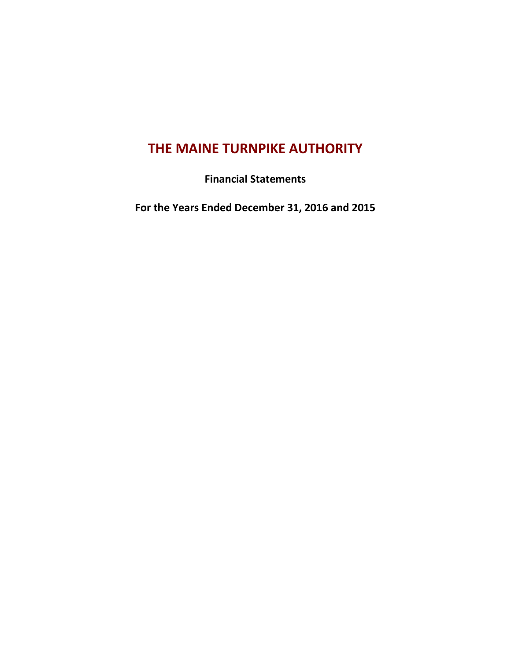# **THE MAINE TURNPIKE AUTHORITY**

**Financial Statements**

**For the Years Ended December 31, 2016 and 2015**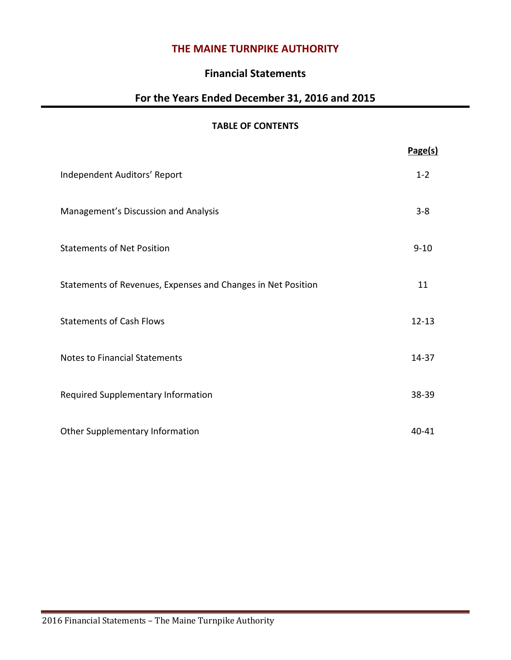# **THE MAINE TURNPIKE AUTHORITY**

# **Financial Statements**

# **For the Years Ended December 31, 2016 and 2015**

# **TABLE OF CONTENTS**

|                                                              | Page(s)   |
|--------------------------------------------------------------|-----------|
| Independent Auditors' Report                                 | $1 - 2$   |
| Management's Discussion and Analysis                         | $3 - 8$   |
| <b>Statements of Net Position</b>                            | $9 - 10$  |
| Statements of Revenues, Expenses and Changes in Net Position | 11        |
| <b>Statements of Cash Flows</b>                              | $12 - 13$ |
| <b>Notes to Financial Statements</b>                         | $14 - 37$ |
| Required Supplementary Information                           | 38-39     |
| Other Supplementary Information                              | 40-41     |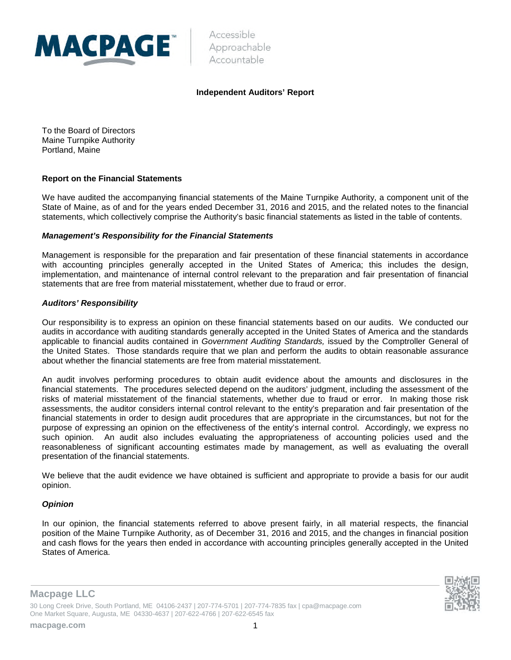

Accessible Approachable Accountable

#### **Independent Auditors' Report**

To the Board of Directors Maine Turnpike Authority Portland, Maine

#### **Report on the Financial Statements**

We have audited the accompanying financial statements of the Maine Turnpike Authority, a component unit of the State of Maine, as of and for the years ended December 31, 2016 and 2015, and the related notes to the financial statements, which collectively comprise the Authority's basic financial statements as listed in the table of contents.

#### *Management's Responsibility for the Financial Statements*

Management is responsible for the preparation and fair presentation of these financial statements in accordance with accounting principles generally accepted in the United States of America; this includes the design, implementation, and maintenance of internal control relevant to the preparation and fair presentation of financial statements that are free from material misstatement, whether due to fraud or error.

#### *Auditors' Responsibility*

Our responsibility is to express an opinion on these financial statements based on our audits. We conducted our audits in accordance with auditing standards generally accepted in the United States of America and the standards applicable to financial audits contained in *Government Auditing Standards,* issued by the Comptroller General of the United States. Those standards require that we plan and perform the audits to obtain reasonable assurance about whether the financial statements are free from material misstatement.

An audit involves performing procedures to obtain audit evidence about the amounts and disclosures in the financial statements. The procedures selected depend on the auditors' judgment, including the assessment of the risks of material misstatement of the financial statements, whether due to fraud or error. In making those risk assessments, the auditor considers internal control relevant to the entity's preparation and fair presentation of the financial statements in order to design audit procedures that are appropriate in the circumstances, but not for the purpose of expressing an opinion on the effectiveness of the entity's internal control. Accordingly, we express no such opinion. An audit also includes evaluating the appropriateness of accounting policies used and the reasonableness of significant accounting estimates made by management, as well as evaluating the overall presentation of the financial statements.

We believe that the audit evidence we have obtained is sufficient and appropriate to provide a basis for our audit opinion.

#### *Opinion*

In our opinion, the financial statements referred to above present fairly, in all material respects, the financial position of the Maine Turnpike Authority, as of December 31, 2016 and 2015, and the changes in financial position and cash flows for the years then ended in accordance with accounting principles generally accepted in the United States of America.





30 Long Creek Drive, South Portland, ME 04106-2437 | 207-774-5701 | 207-774-7835 fax | cpa@macpage.com One Market Square, Augusta, ME 04330-4637 | 207-622-4766 | 207-622-6545 fax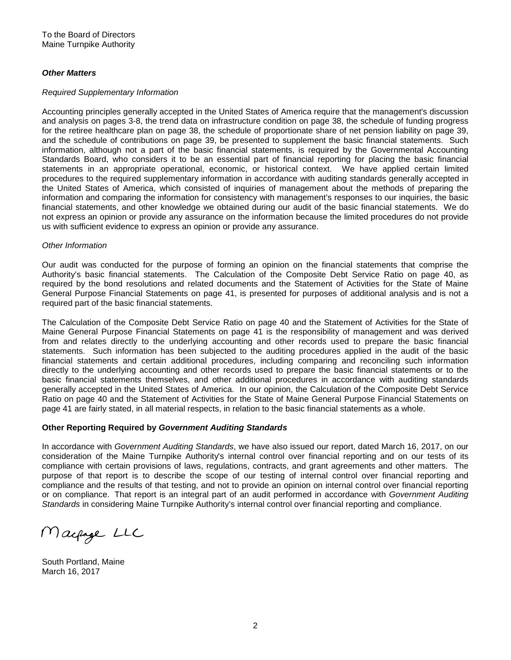#### *Other Matters*

#### *Required Supplementary Information*

Accounting principles generally accepted in the United States of America require that the management's discussion and analysis on pages 3-8, the trend data on infrastructure condition on page 38, the schedule of funding progress for the retiree healthcare plan on page 38, the schedule of proportionate share of net pension liability on page 39, and the schedule of contributions on page 39, be presented to supplement the basic financial statements. Such information, although not a part of the basic financial statements, is required by the Governmental Accounting Standards Board, who considers it to be an essential part of financial reporting for placing the basic financial statements in an appropriate operational, economic, or historical context. We have applied certain limited procedures to the required supplementary information in accordance with auditing standards generally accepted in the United States of America, which consisted of inquiries of management about the methods of preparing the information and comparing the information for consistency with management's responses to our inquiries, the basic financial statements, and other knowledge we obtained during our audit of the basic financial statements. We do not express an opinion or provide any assurance on the information because the limited procedures do not provide us with sufficient evidence to express an opinion or provide any assurance.

#### *Other Information*

Our audit was conducted for the purpose of forming an opinion on the financial statements that comprise the Authority's basic financial statements. The Calculation of the Composite Debt Service Ratio on page 40, as required by the bond resolutions and related documents and the Statement of Activities for the State of Maine General Purpose Financial Statements on page 41, is presented for purposes of additional analysis and is not a required part of the basic financial statements.

The Calculation of the Composite Debt Service Ratio on page 40 and the Statement of Activities for the State of Maine General Purpose Financial Statements on page 41 is the responsibility of management and was derived from and relates directly to the underlying accounting and other records used to prepare the basic financial statements. Such information has been subjected to the auditing procedures applied in the audit of the basic financial statements and certain additional procedures, including comparing and reconciling such information directly to the underlying accounting and other records used to prepare the basic financial statements or to the basic financial statements themselves, and other additional procedures in accordance with auditing standards generally accepted in the United States of America. In our opinion, the Calculation of the Composite Debt Service Ratio on page 40 and the Statement of Activities for the State of Maine General Purpose Financial Statements on page 41 are fairly stated, in all material respects, in relation to the basic financial statements as a whole.

#### **Other Reporting Required by** *Government Auditing Standards*

In accordance with *Government Auditing Standards*, we have also issued our report, dated March 16, 2017, on our consideration of the Maine Turnpike Authority's internal control over financial reporting and on our tests of its compliance with certain provisions of laws, regulations, contracts, and grant agreements and other matters. The purpose of that report is to describe the scope of our testing of internal control over financial reporting and compliance and the results of that testing, and not to provide an opinion on internal control over financial reporting or on compliance. That report is an integral part of an audit performed in accordance with *Government Auditing Standards* in considering Maine Turnpike Authority's internal control over financial reporting and compliance.

Macpage LLC

South Portland, Maine March 16, 2017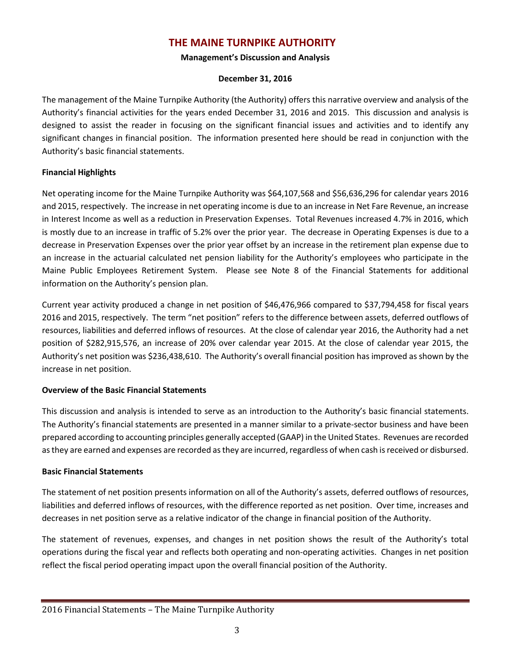# **THE MAINE TURNPIKE AUTHORITY**

#### **Management's Discussion and Analysis**

### **December 31, 2016**

The management of the Maine Turnpike Authority (the Authority) offers this narrative overview and analysis of the Authority's financial activities for the years ended December 31, 2016 and 2015. This discussion and analysis is designed to assist the reader in focusing on the significant financial issues and activities and to identify any significant changes in financial position. The information presented here should be read in conjunction with the Authority's basic financial statements.

# **Financial Highlights**

Net operating income for the Maine Turnpike Authority was \$64,107,568 and \$56,636,296 for calendar years 2016 and 2015, respectively. The increase in net operating income is due to an increase in Net Fare Revenue, an increase in Interest Income as well as a reduction in Preservation Expenses. Total Revenues increased 4.7% in 2016, which is mostly due to an increase in traffic of 5.2% over the prior year. The decrease in Operating Expenses is due to a decrease in Preservation Expenses over the prior year offset by an increase in the retirement plan expense due to an increase in the actuarial calculated net pension liability for the Authority's employees who participate in the Maine Public Employees Retirement System. Please see Note 8 of the Financial Statements for additional information on the Authority's pension plan.

Current year activity produced a change in net position of \$46,476,966 compared to \$37,794,458 for fiscal years 2016 and 2015, respectively. The term "net position" refers to the difference between assets, deferred outflows of resources, liabilities and deferred inflows of resources. At the close of calendar year 2016, the Authority had a net position of \$282,915,576, an increase of 20% over calendar year 2015. At the close of calendar year 2015, the Authority's net position was \$236,438,610. The Authority's overall financial position has improved as shown by the increase in net position.

# **Overview of the Basic Financial Statements**

This discussion and analysis is intended to serve as an introduction to the Authority's basic financial statements. The Authority's financial statements are presented in a manner similar to a private-sector business and have been prepared according to accounting principles generally accepted (GAAP) in the United States. Revenues are recorded as they are earned and expenses are recorded as they are incurred, regardless of when cash is received or disbursed.

# **Basic Financial Statements**

The statement of net position presents information on all of the Authority's assets, deferred outflows of resources, liabilities and deferred inflows of resources, with the difference reported as net position. Over time, increases and decreases in net position serve as a relative indicator of the change in financial position of the Authority.

The statement of revenues, expenses, and changes in net position shows the result of the Authority's total operations during the fiscal year and reflects both operating and non-operating activities. Changes in net position reflect the fiscal period operating impact upon the overall financial position of the Authority.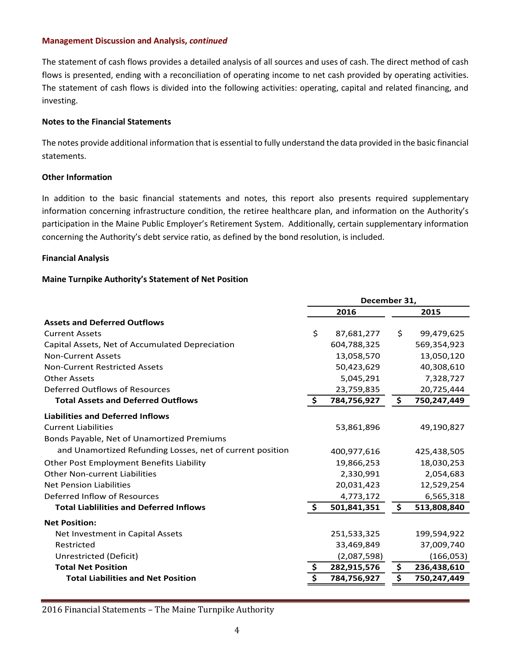The statement of cash flows provides a detailed analysis of all sources and uses of cash. The direct method of cash flows is presented, ending with a reconciliation of operating income to net cash provided by operating activities. The statement of cash flows is divided into the following activities: operating, capital and related financing, and investing.

#### **Notes to the Financial Statements**

The notes provide additional information that is essential to fully understand the data provided in the basic financial statements.

#### **Other Information**

In addition to the basic financial statements and notes, this report also presents required supplementary information concerning infrastructure condition, the retiree healthcare plan, and information on the Authority's participation in the Maine Public Employer's Retirement System. Additionally, certain supplementary information concerning the Authority's debt service ratio, as defined by the bond resolution, is included.

#### **Financial Analysis**

#### **Maine Turnpike Authority's Statement of Net Position**

|                                                           | December 31, |             |    |             |  |
|-----------------------------------------------------------|--------------|-------------|----|-------------|--|
|                                                           |              | 2016        |    | 2015        |  |
| <b>Assets and Deferred Outflows</b>                       |              |             |    |             |  |
| <b>Current Assets</b>                                     | \$           | 87,681,277  | \$ | 99,479,625  |  |
| Capital Assets, Net of Accumulated Depreciation           |              | 604,788,325 |    | 569,354,923 |  |
| <b>Non-Current Assets</b>                                 |              | 13,058,570  |    | 13,050,120  |  |
| <b>Non-Current Restricted Assets</b>                      |              | 50,423,629  |    | 40,308,610  |  |
| <b>Other Assets</b>                                       |              | 5,045,291   |    | 7,328,727   |  |
| Deferred Outflows of Resources                            |              | 23,759,835  |    | 20,725,444  |  |
| <b>Total Assets and Deferred Outflows</b>                 | \$           | 784,756,927 | \$ | 750,247,449 |  |
| <b>Liabilities and Deferred Inflows</b>                   |              |             |    |             |  |
| <b>Current Liabilities</b>                                |              | 53,861,896  |    | 49,190,827  |  |
| Bonds Payable, Net of Unamortized Premiums                |              |             |    |             |  |
| and Unamortized Refunding Losses, net of current position |              | 400,977,616 |    | 425,438,505 |  |
| Other Post Employment Benefits Liability                  |              | 19,866,253  |    | 18,030,253  |  |
| <b>Other Non-current Liabilities</b>                      |              | 2,330,991   |    | 2,054,683   |  |
| Net Pension Liabilities                                   |              | 20,031,423  |    | 12,529,254  |  |
| Deferred Inflow of Resources                              |              | 4,773,172   |    | 6,565,318   |  |
| <b>Total Liablilities and Deferred Inflows</b>            | \$           | 501,841,351 | \$ | 513,808,840 |  |
| <b>Net Position:</b>                                      |              |             |    |             |  |
| Net Investment in Capital Assets                          |              | 251,533,325 |    | 199,594,922 |  |
| Restricted                                                |              | 33,469,849  |    | 37,009,740  |  |
| Unrestricted (Deficit)                                    |              | (2,087,598) |    | (166, 053)  |  |
| <b>Total Net Position</b>                                 | \$           | 282,915,576 | \$ | 236,438,610 |  |
| <b>Total Liabilities and Net Position</b>                 | \$           | 784,756,927 | \$ | 750,247,449 |  |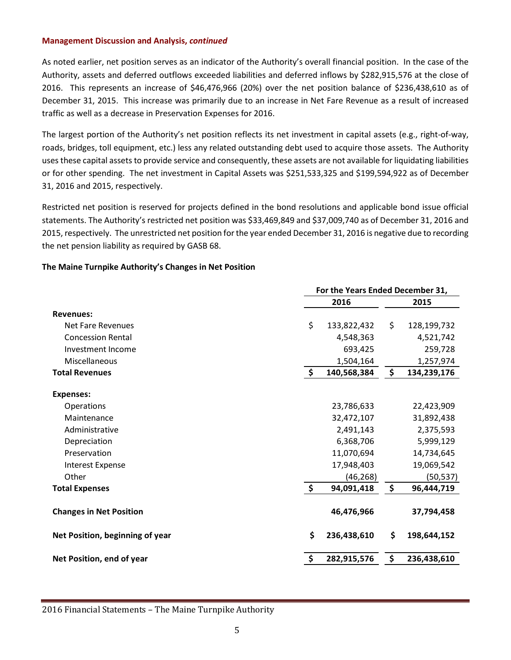As noted earlier, net position serves as an indicator of the Authority's overall financial position. In the case of the Authority, assets and deferred outflows exceeded liabilities and deferred inflows by \$282,915,576 at the close of 2016. This represents an increase of \$46,476,966 (20%) over the net position balance of \$236,438,610 as of December 31, 2015. This increase was primarily due to an increase in Net Fare Revenue as a result of increased traffic as well as a decrease in Preservation Expenses for 2016.

The largest portion of the Authority's net position reflects its net investment in capital assets (e.g., right-of-way, roads, bridges, toll equipment, etc.) less any related outstanding debt used to acquire those assets. The Authority uses these capital assets to provide service and consequently, these assets are not available for liquidating liabilities or for other spending. The net investment in Capital Assets was \$251,533,325 and \$199,594,922 as of December 31, 2016 and 2015, respectively.

Restricted net position is reserved for projects defined in the bond resolutions and applicable bond issue official statements. The Authority's restricted net position was \$33,469,849 and \$37,009,740 as of December 31, 2016 and 2015, respectively. The unrestricted net position for the year ended December 31, 2016 is negative due to recording the net pension liability as required by GASB 68.

#### **The Maine Turnpike Authority's Changes in Net Position**

|                                 | For the Years Ended December 31, |             |    |             |  |  |
|---------------------------------|----------------------------------|-------------|----|-------------|--|--|
|                                 | 2016                             |             |    | 2015        |  |  |
| <b>Revenues:</b>                |                                  |             |    |             |  |  |
| Net Fare Revenues               | \$                               | 133,822,432 | \$ | 128,199,732 |  |  |
| <b>Concession Rental</b>        |                                  | 4,548,363   |    | 4,521,742   |  |  |
| Investment Income               |                                  | 693,425     |    | 259,728     |  |  |
| Miscellaneous                   |                                  | 1,504,164   |    | 1,257,974   |  |  |
| <b>Total Revenues</b>           | \$                               | 140,568,384 | \$ | 134,239,176 |  |  |
| <b>Expenses:</b>                |                                  |             |    |             |  |  |
| Operations                      |                                  | 23,786,633  |    | 22,423,909  |  |  |
| Maintenance                     |                                  | 32,472,107  |    | 31,892,438  |  |  |
| Administrative                  |                                  | 2,491,143   |    | 2,375,593   |  |  |
| Depreciation                    |                                  | 6,368,706   |    | 5,999,129   |  |  |
| Preservation                    |                                  | 11,070,694  |    | 14,734,645  |  |  |
| <b>Interest Expense</b>         |                                  | 17,948,403  |    | 19,069,542  |  |  |
| Other                           |                                  | (46, 268)   |    | (50, 537)   |  |  |
| <b>Total Expenses</b>           | $\ddot{\bm{\zeta}}$              | 94,091,418  | \$ | 96,444,719  |  |  |
| <b>Changes in Net Position</b>  |                                  | 46,476,966  |    | 37,794,458  |  |  |
| Net Position, beginning of year | \$                               | 236,438,610 | \$ | 198,644,152 |  |  |
| Net Position, end of year       | \$                               | 282,915,576 | \$ | 236,438,610 |  |  |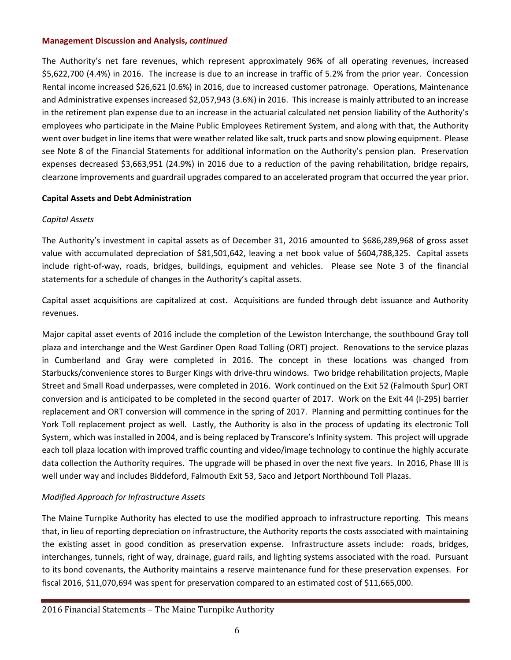The Authority's net fare revenues, which represent approximately 96% of all operating revenues, increased \$5,622,700 (4.4%) in 2016. The increase is due to an increase in traffic of 5.2% from the prior year. Concession Rental income increased \$26,621 (0.6%) in 2016, due to increased customer patronage. Operations, Maintenance and Administrative expenses increased \$2,057,943 (3.6%) in 2016. This increase is mainly attributed to an increase in the retirement plan expense due to an increase in the actuarial calculated net pension liability of the Authority's employees who participate in the Maine Public Employees Retirement System, and along with that, the Authority went over budget in line items that were weather related like salt, truck parts and snow plowing equipment. Please see Note 8 of the Financial Statements for additional information on the Authority's pension plan. Preservation expenses decreased \$3,663,951 (24.9%) in 2016 due to a reduction of the paving rehabilitation, bridge repairs, clearzone improvements and guardrail upgrades compared to an accelerated program that occurred the year prior.

# **Capital Assets and Debt Administration**

# *Capital Assets*

The Authority's investment in capital assets as of December 31, 2016 amounted to \$686,289,968 of gross asset value with accumulated depreciation of \$81,501,642, leaving a net book value of \$604,788,325. Capital assets include right-of-way, roads, bridges, buildings, equipment and vehicles. Please see Note 3 of the financial statements for a schedule of changes in the Authority's capital assets.

Capital asset acquisitions are capitalized at cost. Acquisitions are funded through debt issuance and Authority revenues.

Major capital asset events of 2016 include the completion of the Lewiston Interchange, the southbound Gray toll plaza and interchange and the West Gardiner Open Road Tolling (ORT) project. Renovations to the service plazas in Cumberland and Gray were completed in 2016. The concept in these locations was changed from Starbucks/convenience stores to Burger Kings with drive-thru windows. Two bridge rehabilitation projects, Maple Street and Small Road underpasses, were completed in 2016. Work continued on the Exit 52 (Falmouth Spur) ORT conversion and is anticipated to be completed in the second quarter of 2017. Work on the Exit 44 (I-295) barrier replacement and ORT conversion will commence in the spring of 2017. Planning and permitting continues for the York Toll replacement project as well. Lastly, the Authority is also in the process of updating its electronic Toll System, which was installed in 2004, and is being replaced by Transcore's Infinity system. This project will upgrade each toll plaza location with improved traffic counting and video/image technology to continue the highly accurate data collection the Authority requires. The upgrade will be phased in over the next five years. In 2016, Phase III is well under way and includes Biddeford, Falmouth Exit 53, Saco and Jetport Northbound Toll Plazas.

# *Modified Approach for Infrastructure Assets*

The Maine Turnpike Authority has elected to use the modified approach to infrastructure reporting. This means that, in lieu of reporting depreciation on infrastructure, the Authority reports the costs associated with maintaining the existing asset in good condition as preservation expense. Infrastructure assets include: roads, bridges, interchanges, tunnels, right of way, drainage, guard rails, and lighting systems associated with the road. Pursuant to its bond covenants, the Authority maintains a reserve maintenance fund for these preservation expenses. For fiscal 2016, \$11,070,694 was spent for preservation compared to an estimated cost of \$11,665,000.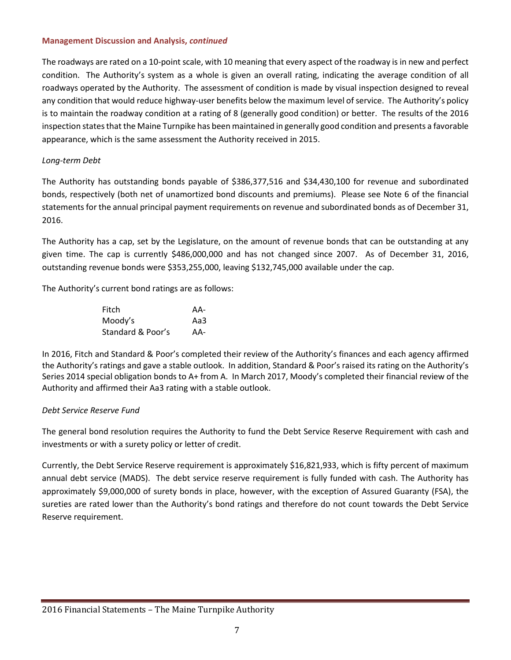The roadways are rated on a 10-point scale, with 10 meaning that every aspect of the roadway is in new and perfect condition. The Authority's system as a whole is given an overall rating, indicating the average condition of all roadways operated by the Authority. The assessment of condition is made by visual inspection designed to reveal any condition that would reduce highway-user benefits below the maximum level of service. The Authority's policy is to maintain the roadway condition at a rating of 8 (generally good condition) or better. The results of the 2016 inspection states that the Maine Turnpike has been maintained in generally good condition and presents a favorable appearance, which is the same assessment the Authority received in 2015.

# *Long-term Debt*

The Authority has outstanding bonds payable of \$386,377,516 and \$34,430,100 for revenue and subordinated bonds, respectively (both net of unamortized bond discounts and premiums). Please see Note 6 of the financial statements for the annual principal payment requirements on revenue and subordinated bonds as of December 31, 2016.

The Authority has a cap, set by the Legislature, on the amount of revenue bonds that can be outstanding at any given time. The cap is currently \$486,000,000 and has not changed since 2007. As of December 31, 2016, outstanding revenue bonds were \$353,255,000, leaving \$132,745,000 available under the cap.

The Authority's current bond ratings are as follows:

| Fitch             | AA- |
|-------------------|-----|
| Moody's           | Aa3 |
| Standard & Poor's | AA- |

In 2016, Fitch and Standard & Poor's completed their review of the Authority's finances and each agency affirmed the Authority's ratings and gave a stable outlook. In addition, Standard & Poor's raised its rating on the Authority's Series 2014 special obligation bonds to A+ from A. In March 2017, Moody's completed their financial review of the Authority and affirmed their Aa3 rating with a stable outlook.

# *Debt Service Reserve Fund*

The general bond resolution requires the Authority to fund the Debt Service Reserve Requirement with cash and investments or with a surety policy or letter of credit.

Currently, the Debt Service Reserve requirement is approximately \$16,821,933, which is fifty percent of maximum annual debt service (MADS). The debt service reserve requirement is fully funded with cash. The Authority has approximately \$9,000,000 of surety bonds in place, however, with the exception of Assured Guaranty (FSA), the sureties are rated lower than the Authority's bond ratings and therefore do not count towards the Debt Service Reserve requirement.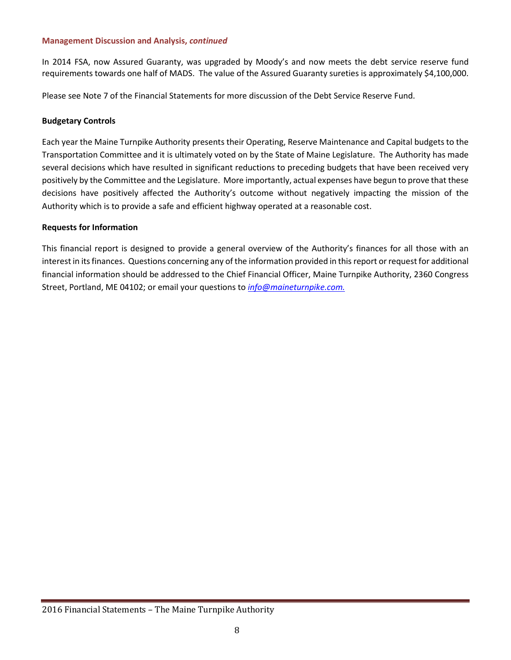In 2014 FSA, now Assured Guaranty, was upgraded by Moody's and now meets the debt service reserve fund requirements towards one half of MADS. The value of the Assured Guaranty sureties is approximately \$4,100,000.

Please see Note 7 of the Financial Statements for more discussion of the Debt Service Reserve Fund.

### **Budgetary Controls**

Each year the Maine Turnpike Authority presents their Operating, Reserve Maintenance and Capital budgets to the Transportation Committee and it is ultimately voted on by the State of Maine Legislature. The Authority has made several decisions which have resulted in significant reductions to preceding budgets that have been received very positively by the Committee and the Legislature. More importantly, actual expenses have begun to prove that these decisions have positively affected the Authority's outcome without negatively impacting the mission of the Authority which is to provide a safe and efficient highway operated at a reasonable cost.

# **Requests for Information**

This financial report is designed to provide a general overview of the Authority's finances for all those with an interest in its finances. Questions concerning any of the information provided in this report or request for additional financial information should be addressed to the Chief Financial Officer, Maine Turnpike Authority, 2360 Congress Street, Portland, ME 04102; or email your questions to *info@maineturnpike.com.*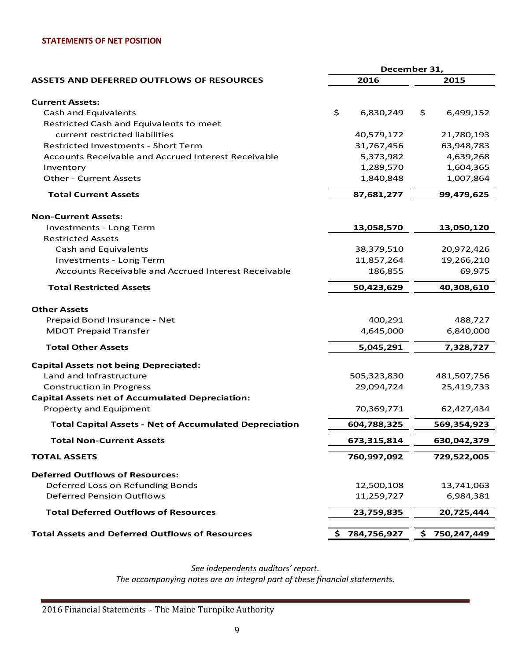#### **STATEMENTS OF NET POSITION**

|                                                               | December 31,     |                  |  |  |
|---------------------------------------------------------------|------------------|------------------|--|--|
| <b>ASSETS AND DEFERRED OUTFLOWS OF RESOURCES</b>              | 2016             | 2015             |  |  |
|                                                               |                  |                  |  |  |
| <b>Current Assets:</b>                                        |                  |                  |  |  |
| <b>Cash and Equivalents</b>                                   | \$<br>6,830,249  | \$<br>6,499,152  |  |  |
| Restricted Cash and Equivalents to meet                       |                  |                  |  |  |
| current restricted liabilities                                | 40,579,172       | 21,780,193       |  |  |
| <b>Restricted Investments - Short Term</b>                    | 31,767,456       | 63,948,783       |  |  |
| Accounts Receivable and Accrued Interest Receivable           | 5,373,982        | 4,639,268        |  |  |
| Inventory                                                     | 1,289,570        | 1,604,365        |  |  |
| <b>Other - Current Assets</b>                                 | 1,840,848        | 1,007,864        |  |  |
| <b>Total Current Assets</b>                                   | 87,681,277       | 99,479,625       |  |  |
| <b>Non-Current Assets:</b>                                    |                  |                  |  |  |
| <b>Investments - Long Term</b>                                | 13,058,570       | 13,050,120       |  |  |
| <b>Restricted Assets</b>                                      |                  |                  |  |  |
| <b>Cash and Equivalents</b>                                   | 38,379,510       | 20,972,426       |  |  |
| Investments - Long Term                                       | 11,857,264       | 19,266,210       |  |  |
| Accounts Receivable and Accrued Interest Receivable           | 186,855          | 69,975           |  |  |
| <b>Total Restricted Assets</b>                                | 50,423,629       |                  |  |  |
| <b>Other Assets</b>                                           |                  |                  |  |  |
| Prepaid Bond Insurance - Net                                  | 400,291          | 488,727          |  |  |
| <b>MDOT Prepaid Transfer</b>                                  | 4,645,000        | 6,840,000        |  |  |
| <b>Total Other Assets</b>                                     | 5,045,291        | 7,328,727        |  |  |
| <b>Capital Assets not being Depreciated:</b>                  |                  |                  |  |  |
| Land and Infrastructure                                       | 505,323,830      | 481,507,756      |  |  |
| <b>Construction in Progress</b>                               | 29,094,724       | 25,419,733       |  |  |
| <b>Capital Assets net of Accumulated Depreciation:</b>        |                  |                  |  |  |
| Property and Equipment                                        | 70,369,771       | 62,427,434       |  |  |
| <b>Total Capital Assets - Net of Accumulated Depreciation</b> | 604,788,325      | 569,354,923      |  |  |
| <b>Total Non-Current Assets</b>                               | 673,315,814      | 630,042,379      |  |  |
| <b>TOTAL ASSETS</b>                                           | 760,997,092      | 729,522,005      |  |  |
| <b>Deferred Outflows of Resources:</b>                        |                  |                  |  |  |
| Deferred Loss on Refunding Bonds                              | 12,500,108       | 13,741,063       |  |  |
| <b>Deferred Pension Outflows</b>                              | 11,259,727       | 6,984,381        |  |  |
| <b>Total Deferred Outflows of Resources</b>                   | 23,759,835       | 20,725,444       |  |  |
| <b>Total Assets and Deferred Outflows of Resources</b>        | 784,756,927<br>S | 750,247,449<br>s |  |  |

*See independents auditors' report. The accompanying notes are an integral part of these financial statements.*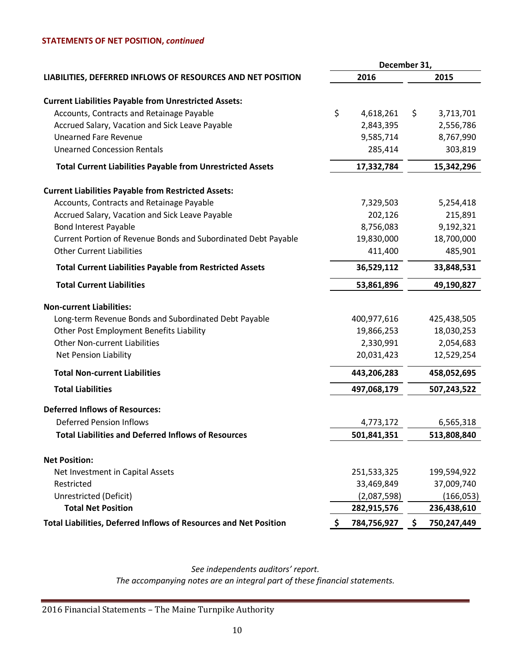#### **STATEMENTS OF NET POSITION,** *continued*

|                                                                   | December 31,      |                   |  |  |
|-------------------------------------------------------------------|-------------------|-------------------|--|--|
| LIABILITIES, DEFERRED INFLOWS OF RESOURCES AND NET POSITION       | 2016              | 2015              |  |  |
| <b>Current Liabilities Payable from Unrestricted Assets:</b>      |                   |                   |  |  |
| Accounts, Contracts and Retainage Payable                         | \$<br>4,618,261   | \$<br>3,713,701   |  |  |
| Accrued Salary, Vacation and Sick Leave Payable                   | 2,843,395         | 2,556,786         |  |  |
| <b>Unearned Fare Revenue</b>                                      | 9,585,714         | 8,767,990         |  |  |
| <b>Unearned Concession Rentals</b>                                | 285,414           | 303,819           |  |  |
| <b>Total Current Liabilities Payable from Unrestricted Assets</b> | 17,332,784        | 15,342,296        |  |  |
| <b>Current Liabilities Payable from Restricted Assets:</b>        |                   |                   |  |  |
| Accounts, Contracts and Retainage Payable                         | 7,329,503         | 5,254,418         |  |  |
| Accrued Salary, Vacation and Sick Leave Payable                   | 202,126           | 215,891           |  |  |
| <b>Bond Interest Payable</b>                                      | 8,756,083         | 9,192,321         |  |  |
| Current Portion of Revenue Bonds and Subordinated Debt Payable    | 19,830,000        | 18,700,000        |  |  |
| <b>Other Current Liabilities</b>                                  | 411,400           | 485,901           |  |  |
| <b>Total Current Liabilities Payable from Restricted Assets</b>   | 36,529,112        | 33,848,531        |  |  |
| <b>Total Current Liabilities</b>                                  | 53,861,896        |                   |  |  |
| <b>Non-current Liabilities:</b>                                   |                   |                   |  |  |
| Long-term Revenue Bonds and Subordinated Debt Payable             | 400,977,616       | 425,438,505       |  |  |
| Other Post Employment Benefits Liability                          | 19,866,253        | 18,030,253        |  |  |
| <b>Other Non-current Liabilities</b>                              | 2,330,991         | 2,054,683         |  |  |
| <b>Net Pension Liability</b>                                      | 20,031,423        |                   |  |  |
| <b>Total Non-current Liabilities</b>                              | 443,206,283       | 458,052,695       |  |  |
| <b>Total Liabilities</b>                                          | 497,068,179       | 507,243,522       |  |  |
| <b>Deferred Inflows of Resources:</b>                             |                   |                   |  |  |
| <b>Deferred Pension Inflows</b>                                   | 4,773,172         | 6,565,318         |  |  |
| <b>Total Liabilities and Deferred Inflows of Resources</b>        | 501,841,351       | 513,808,840       |  |  |
| <b>Net Position:</b>                                              |                   |                   |  |  |
| Net Investment in Capital Assets                                  | 251,533,325       | 199,594,922       |  |  |
| Restricted                                                        | 33,469,849        | 37,009,740        |  |  |
| Unrestricted (Deficit)                                            | (2,087,598)       | (166, 053)        |  |  |
| <b>Total Net Position</b><br>282,915,576                          |                   |                   |  |  |
| Total Liabilities, Deferred Inflows of Resources and Net Position | 784,756,927<br>\$ | 750,247,449<br>-S |  |  |

*See independents auditors' report. The accompanying notes are an integral part of these financial statements.*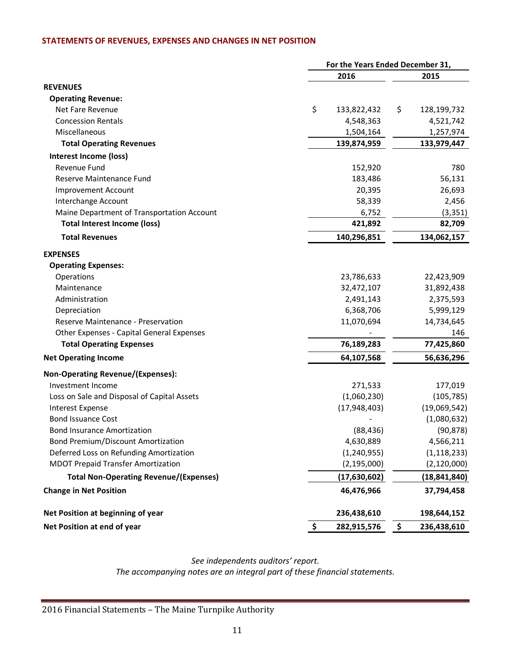#### **STATEMENTS OF REVENUES, EXPENSES AND CHANGES IN NET POSITION**

|                                               | For the Years Ended December 31, |                |    |                |  |  |
|-----------------------------------------------|----------------------------------|----------------|----|----------------|--|--|
|                                               |                                  | 2016           |    |                |  |  |
| <b>REVENUES</b>                               |                                  |                |    |                |  |  |
| <b>Operating Revenue:</b>                     |                                  |                |    |                |  |  |
| Net Fare Revenue                              | \$                               | 133,822,432    | \$ | 128,199,732    |  |  |
| <b>Concession Rentals</b>                     |                                  | 4,548,363      |    | 4,521,742      |  |  |
| Miscellaneous                                 |                                  | 1,504,164      |    | 1,257,974      |  |  |
| <b>Total Operating Revenues</b>               |                                  | 139,874,959    |    | 133,979,447    |  |  |
| Interest Income (loss)                        |                                  |                |    |                |  |  |
| Revenue Fund                                  |                                  | 152,920        |    | 780            |  |  |
| Reserve Maintenance Fund                      |                                  | 183,486        |    | 56,131         |  |  |
| <b>Improvement Account</b>                    |                                  | 20,395         |    | 26,693         |  |  |
| Interchange Account                           |                                  | 58,339         |    | 2,456          |  |  |
| Maine Department of Transportation Account    |                                  | 6,752          |    | (3, 351)       |  |  |
| <b>Total Interest Income (loss)</b>           |                                  | 421,892        |    | 82,709         |  |  |
| <b>Total Revenues</b>                         |                                  | 140,296,851    |    | 134,062,157    |  |  |
| <b>EXPENSES</b>                               |                                  |                |    |                |  |  |
| <b>Operating Expenses:</b>                    |                                  |                |    |                |  |  |
| Operations                                    |                                  | 23,786,633     |    | 22,423,909     |  |  |
| Maintenance                                   |                                  | 32,472,107     |    | 31,892,438     |  |  |
| Administration                                |                                  | 2,491,143      |    | 2,375,593      |  |  |
| Depreciation                                  |                                  | 6,368,706      |    | 5,999,129      |  |  |
| Reserve Maintenance - Preservation            |                                  | 11,070,694     |    | 14,734,645     |  |  |
| Other Expenses - Capital General Expenses     |                                  |                |    | 146            |  |  |
| <b>Total Operating Expenses</b>               |                                  | 76,189,283     |    | 77,425,860     |  |  |
| <b>Net Operating Income</b>                   |                                  | 64,107,568     |    | 56,636,296     |  |  |
| <b>Non-Operating Revenue/(Expenses):</b>      |                                  |                |    |                |  |  |
| Investment Income                             |                                  | 271,533        |    | 177,019        |  |  |
| Loss on Sale and Disposal of Capital Assets   |                                  | (1,060,230)    |    | (105, 785)     |  |  |
| Interest Expense                              |                                  | (17, 948, 403) |    | (19,069,542)   |  |  |
| <b>Bond Issuance Cost</b>                     |                                  |                |    | (1,080,632)    |  |  |
| <b>Bond Insurance Amortization</b>            |                                  | (88, 436)      |    | (90, 878)      |  |  |
| <b>Bond Premium/Discount Amortization</b>     |                                  | 4,630,889      |    | 4,566,211      |  |  |
| Deferred Loss on Refunding Amortization       |                                  | (1, 240, 955)  |    | (1, 118, 233)  |  |  |
| <b>MDOT Prepaid Transfer Amortization</b>     |                                  | (2, 195, 000)  |    | (2, 120, 000)  |  |  |
| <b>Total Non-Operating Revenue/(Expenses)</b> |                                  | (17, 630, 602) |    | (18, 841, 840) |  |  |
| <b>Change in Net Position</b>                 |                                  | 46,476,966     |    | 37,794,458     |  |  |
| Net Position at beginning of year             |                                  | 236,438,610    |    | 198,644,152    |  |  |
| Net Position at end of year                   | \$                               | 282,915,576    | \$ | 236,438,610    |  |  |

*See independents auditors' report.*

*The accompanying notes are an integral part of these financial statements.*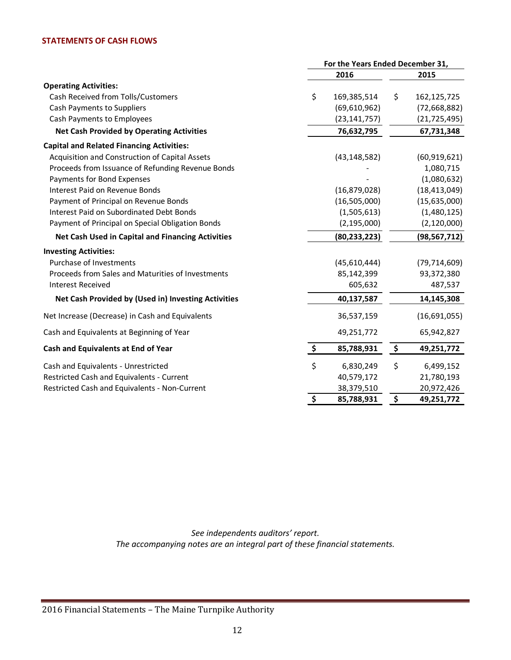#### **STATEMENTS OF CASH FLOWS**

|                                                     | For the Years Ended December 31, |                |    |                |
|-----------------------------------------------------|----------------------------------|----------------|----|----------------|
|                                                     |                                  | 2016           |    | 2015           |
| <b>Operating Activities:</b>                        |                                  |                |    |                |
| Cash Received from Tolls/Customers                  | \$                               | 169,385,514    | \$ | 162,125,725    |
| <b>Cash Payments to Suppliers</b>                   |                                  | (69,610,962)   |    | (72, 668, 882) |
| Cash Payments to Employees                          |                                  | (23, 141, 757) |    | (21, 725, 495) |
| <b>Net Cash Provided by Operating Activities</b>    |                                  | 76,632,795     |    | 67,731,348     |
| <b>Capital and Related Financing Activities:</b>    |                                  |                |    |                |
| Acquisition and Construction of Capital Assets      |                                  | (43, 148, 582) |    | (60, 919, 621) |
| Proceeds from Issuance of Refunding Revenue Bonds   |                                  |                |    | 1,080,715      |
| Payments for Bond Expenses                          |                                  |                |    | (1,080,632)    |
| Interest Paid on Revenue Bonds                      |                                  | (16, 879, 028) |    | (18, 413, 049) |
| Payment of Principal on Revenue Bonds               |                                  | (16, 505, 000) |    | (15,635,000)   |
| <b>Interest Paid on Subordinated Debt Bonds</b>     |                                  | (1,505,613)    |    | (1,480,125)    |
| Payment of Principal on Special Obligation Bonds    |                                  | (2, 195, 000)  |    | (2, 120, 000)  |
| Net Cash Used in Capital and Financing Activities   |                                  | (80, 233, 223) |    | (98, 567, 712) |
| <b>Investing Activities:</b>                        |                                  |                |    |                |
| Purchase of Investments                             |                                  | (45,610,444)   |    | (79, 714, 609) |
| Proceeds from Sales and Maturities of Investments   |                                  | 85,142,399     |    | 93,372,380     |
| <b>Interest Received</b>                            |                                  | 605,632        |    | 487,537        |
| Net Cash Provided by (Used in) Investing Activities |                                  | 40,137,587     |    | 14,145,308     |
| Net Increase (Decrease) in Cash and Equivalents     |                                  | 36,537,159     |    | (16,691,055)   |
| Cash and Equivalents at Beginning of Year           |                                  | 49,251,772     |    | 65,942,827     |
| Cash and Equivalents at End of Year                 | \$                               | 85,788,931     | \$ | 49,251,772     |
| Cash and Equivalents - Unrestricted                 | \$                               | 6,830,249      | \$ | 6,499,152      |
| Restricted Cash and Equivalents - Current           |                                  | 40,579,172     |    | 21,780,193     |
| Restricted Cash and Equivalents - Non-Current       |                                  | 38,379,510     |    | 20,972,426     |
|                                                     | \$                               | 85,788,931     | \$ | 49,251,772     |

*See independents auditors' report. The accompanying notes are an integral part of these financial statements.*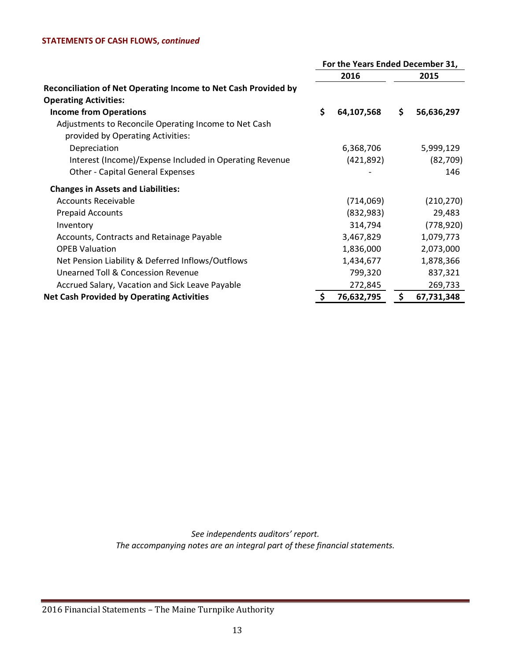# **STATEMENTS OF CASH FLOWS,** *continued*

|                                                                | For the Years Ended December 31, |            |    |            |
|----------------------------------------------------------------|----------------------------------|------------|----|------------|
|                                                                |                                  | 2016       |    | 2015       |
| Reconciliation of Net Operating Income to Net Cash Provided by |                                  |            |    |            |
| <b>Operating Activities:</b>                                   |                                  |            |    |            |
| <b>Income from Operations</b>                                  | \$                               | 64,107,568 | \$ | 56,636,297 |
| Adjustments to Reconcile Operating Income to Net Cash          |                                  |            |    |            |
| provided by Operating Activities:                              |                                  |            |    |            |
| Depreciation                                                   |                                  | 6,368,706  |    | 5,999,129  |
| Interest (Income)/Expense Included in Operating Revenue        |                                  | (421,892)  |    | (82,709)   |
| <b>Other - Capital General Expenses</b>                        |                                  |            |    | 146        |
| <b>Changes in Assets and Liabilities:</b>                      |                                  |            |    |            |
| <b>Accounts Receivable</b>                                     |                                  | (714,069)  |    | (210, 270) |
| <b>Prepaid Accounts</b>                                        |                                  | (832, 983) |    | 29,483     |
| Inventory                                                      |                                  | 314,794    |    | (778, 920) |
| Accounts, Contracts and Retainage Payable                      |                                  | 3,467,829  |    | 1,079,773  |
| <b>OPEB Valuation</b>                                          |                                  | 1,836,000  |    | 2,073,000  |
| Net Pension Liability & Deferred Inflows/Outflows              |                                  | 1,434,677  |    | 1,878,366  |
| <b>Unearned Toll &amp; Concession Revenue</b>                  |                                  | 799,320    |    | 837,321    |
| Accrued Salary, Vacation and Sick Leave Payable                |                                  | 272,845    |    | 269,733    |
| <b>Net Cash Provided by Operating Activities</b>               | Ş                                | 76,632,795 | \$ | 67,731,348 |

*See independents auditors' report. The accompanying notes are an integral part of these financial statements.*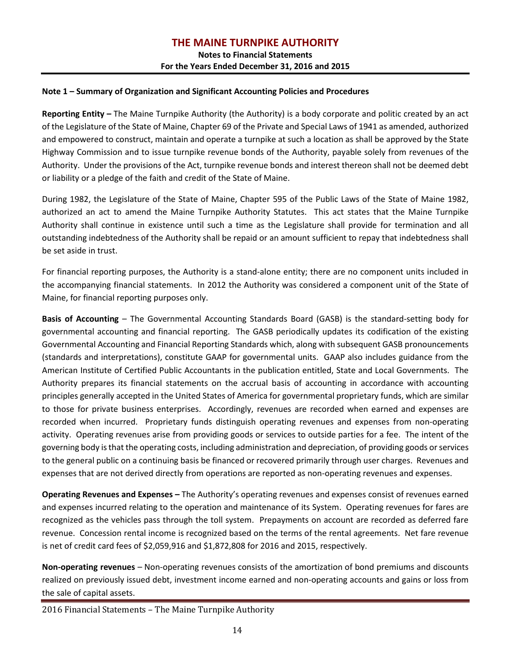**Notes to Financial Statements For the Years Ended December 31, 2016 and 2015**

#### **Note 1 – Summary of Organization and Significant Accounting Policies and Procedures**

**Reporting Entity –** The Maine Turnpike Authority (the Authority) is a body corporate and politic created by an act of the Legislature of the State of Maine, Chapter 69 of the Private and Special Laws of 1941 as amended, authorized and empowered to construct, maintain and operate a turnpike at such a location as shall be approved by the State Highway Commission and to issue turnpike revenue bonds of the Authority, payable solely from revenues of the Authority. Under the provisions of the Act, turnpike revenue bonds and interest thereon shall not be deemed debt or liability or a pledge of the faith and credit of the State of Maine.

During 1982, the Legislature of the State of Maine, Chapter 595 of the Public Laws of the State of Maine 1982, authorized an act to amend the Maine Turnpike Authority Statutes. This act states that the Maine Turnpike Authority shall continue in existence until such a time as the Legislature shall provide for termination and all outstanding indebtedness of the Authority shall be repaid or an amount sufficient to repay that indebtedness shall be set aside in trust.

For financial reporting purposes, the Authority is a stand-alone entity; there are no component units included in the accompanying financial statements. In 2012 the Authority was considered a component unit of the State of Maine, for financial reporting purposes only.

**Basis of Accounting** – The Governmental Accounting Standards Board (GASB) is the standard-setting body for governmental accounting and financial reporting. The GASB periodically updates its codification of the existing Governmental Accounting and Financial Reporting Standards which, along with subsequent GASB pronouncements (standards and interpretations), constitute GAAP for governmental units. GAAP also includes guidance from the American Institute of Certified Public Accountants in the publication entitled, State and Local Governments. The Authority prepares its financial statements on the accrual basis of accounting in accordance with accounting principles generally accepted in the United States of America for governmental proprietary funds, which are similar to those for private business enterprises. Accordingly, revenues are recorded when earned and expenses are recorded when incurred. Proprietary funds distinguish operating revenues and expenses from non-operating activity. Operating revenues arise from providing goods or services to outside parties for a fee. The intent of the governing body is that the operating costs, including administration and depreciation, of providing goods or services to the general public on a continuing basis be financed or recovered primarily through user charges. Revenues and expenses that are not derived directly from operations are reported as non-operating revenues and expenses.

**Operating Revenues and Expenses –** The Authority's operating revenues and expenses consist of revenues earned and expenses incurred relating to the operation and maintenance of its System. Operating revenues for fares are recognized as the vehicles pass through the toll system. Prepayments on account are recorded as deferred fare revenue. Concession rental income is recognized based on the terms of the rental agreements. Net fare revenue is net of credit card fees of \$2,059,916 and \$1,872,808 for 2016 and 2015, respectively.

**Non-operating revenues** – Non-operating revenues consists of the amortization of bond premiums and discounts realized on previously issued debt, investment income earned and non-operating accounts and gains or loss from the sale of capital assets.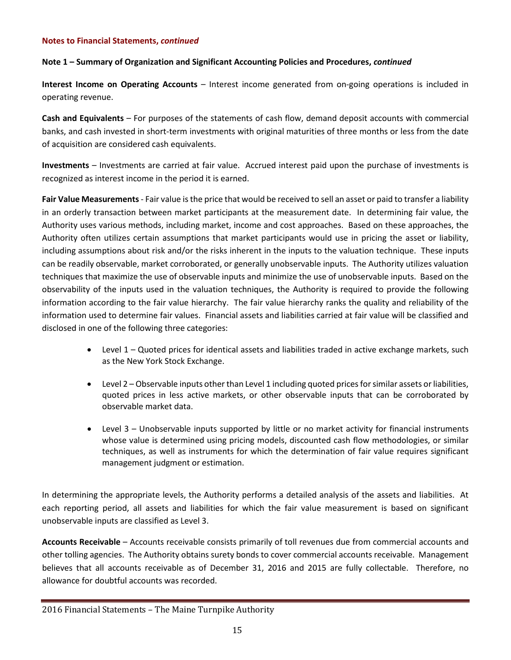#### **Note 1 – Summary of Organization and Significant Accounting Policies and Procedures,** *continued*

**Interest Income on Operating Accounts** – Interest income generated from on-going operations is included in operating revenue.

**Cash and Equivalents** – For purposes of the statements of cash flow, demand deposit accounts with commercial banks, and cash invested in short-term investments with original maturities of three months or less from the date of acquisition are considered cash equivalents.

**Investments** – Investments are carried at fair value. Accrued interest paid upon the purchase of investments is recognized as interest income in the period it is earned.

**Fair Value Measurements** - Fair value is the price that would be received to sell an asset or paid to transfer a liability in an orderly transaction between market participants at the measurement date. In determining fair value, the Authority uses various methods, including market, income and cost approaches. Based on these approaches, the Authority often utilizes certain assumptions that market participants would use in pricing the asset or liability, including assumptions about risk and/or the risks inherent in the inputs to the valuation technique. These inputs can be readily observable, market corroborated, or generally unobservable inputs. The Authority utilizes valuation techniques that maximize the use of observable inputs and minimize the use of unobservable inputs. Based on the observability of the inputs used in the valuation techniques, the Authority is required to provide the following information according to the fair value hierarchy. The fair value hierarchy ranks the quality and reliability of the information used to determine fair values. Financial assets and liabilities carried at fair value will be classified and disclosed in one of the following three categories:

- Level 1 Quoted prices for identical assets and liabilities traded in active exchange markets, such as the New York Stock Exchange.
- Level 2 Observable inputs other than Level 1 including quoted prices for similar assets or liabilities, quoted prices in less active markets, or other observable inputs that can be corroborated by observable market data.
- Level 3 Unobservable inputs supported by little or no market activity for financial instruments whose value is determined using pricing models, discounted cash flow methodologies, or similar techniques, as well as instruments for which the determination of fair value requires significant management judgment or estimation.

In determining the appropriate levels, the Authority performs a detailed analysis of the assets and liabilities. At each reporting period, all assets and liabilities for which the fair value measurement is based on significant unobservable inputs are classified as Level 3.

**Accounts Receivable** – Accounts receivable consists primarily of toll revenues due from commercial accounts and other tolling agencies. The Authority obtains surety bonds to cover commercial accounts receivable. Management believes that all accounts receivable as of December 31, 2016 and 2015 are fully collectable. Therefore, no allowance for doubtful accounts was recorded.

<sup>2016</sup> Financial Statements – The Maine Turnpike Authority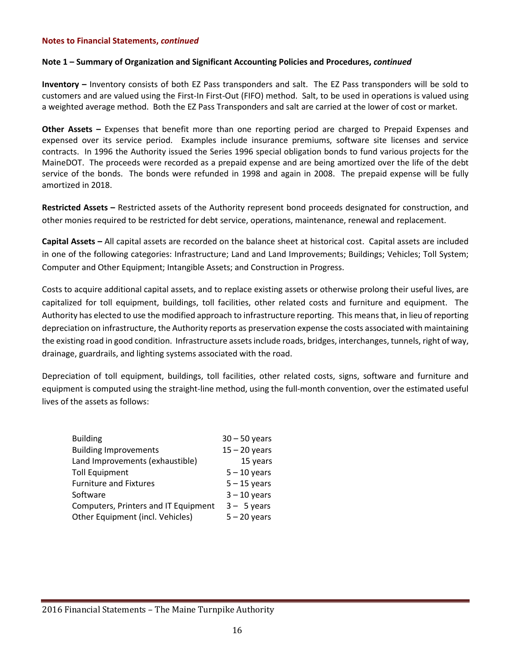#### **Note 1 – Summary of Organization and Significant Accounting Policies and Procedures,** *continued*

**Inventory –** Inventory consists of both EZ Pass transponders and salt. The EZ Pass transponders will be sold to customers and are valued using the First-In First-Out (FIFO) method. Salt, to be used in operations is valued using a weighted average method. Both the EZ Pass Transponders and salt are carried at the lower of cost or market.

**Other Assets –** Expenses that benefit more than one reporting period are charged to Prepaid Expenses and expensed over its service period. Examples include insurance premiums, software site licenses and service contracts. In 1996 the Authority issued the Series 1996 special obligation bonds to fund various projects for the MaineDOT. The proceeds were recorded as a prepaid expense and are being amortized over the life of the debt service of the bonds. The bonds were refunded in 1998 and again in 2008. The prepaid expense will be fully amortized in 2018.

**Restricted Assets –** Restricted assets of the Authority represent bond proceeds designated for construction, and other monies required to be restricted for debt service, operations, maintenance, renewal and replacement.

**Capital Assets –** All capital assets are recorded on the balance sheet at historical cost. Capital assets are included in one of the following categories: Infrastructure; Land and Land Improvements; Buildings; Vehicles; Toll System; Computer and Other Equipment; Intangible Assets; and Construction in Progress.

Costs to acquire additional capital assets, and to replace existing assets or otherwise prolong their useful lives, are capitalized for toll equipment, buildings, toll facilities, other related costs and furniture and equipment. The Authority has elected to use the modified approach to infrastructure reporting. This means that, in lieu of reporting depreciation on infrastructure, the Authority reports as preservation expense the costs associated with maintaining the existing road in good condition. Infrastructure assets include roads, bridges, interchanges, tunnels, right of way, drainage, guardrails, and lighting systems associated with the road.

Depreciation of toll equipment, buildings, toll facilities, other related costs, signs, software and furniture and equipment is computed using the straight-line method, using the full-month convention, over the estimated useful lives of the assets as follows:

| <b>Building</b>                      | $30 - 50$ years |
|--------------------------------------|-----------------|
| <b>Building Improvements</b>         | $15 - 20$ years |
| Land Improvements (exhaustible)      | 15 years        |
| <b>Toll Equipment</b>                | $5 - 10$ years  |
| <b>Furniture and Fixtures</b>        | $5 - 15$ years  |
| Software                             | $3 - 10$ years  |
| Computers, Printers and IT Equipment | $3 - 5$ years   |
| Other Equipment (incl. Vehicles)     | $5 - 20$ years  |
|                                      |                 |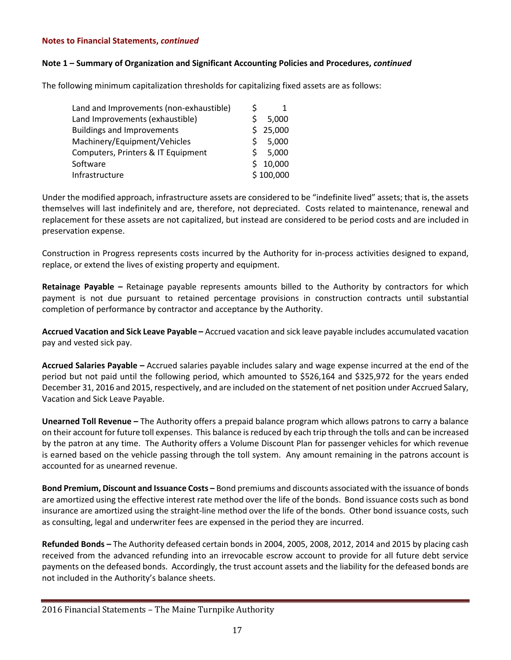#### **Note 1 – Summary of Organization and Significant Accounting Policies and Procedures,** *continued*

The following minimum capitalization thresholds for capitalizing fixed assets are as follows:

| Land and Improvements (non-exhaustible) | S           |           |
|-----------------------------------------|-------------|-----------|
| Land Improvements (exhaustible)         |             | 5,000     |
| <b>Buildings and Improvements</b>       |             | \$25,000  |
| Machinery/Equipment/Vehicles            | S.          | 5,000     |
| Computers, Printers & IT Equipment      | S           | 5,000     |
| Software                                | $\varsigma$ | 10,000    |
| Infrastructure                          |             | \$100,000 |

Under the modified approach, infrastructure assets are considered to be "indefinite lived" assets; that is, the assets themselves will last indefinitely and are, therefore, not depreciated. Costs related to maintenance, renewal and replacement for these assets are not capitalized, but instead are considered to be period costs and are included in preservation expense.

Construction in Progress represents costs incurred by the Authority for in-process activities designed to expand, replace, or extend the lives of existing property and equipment.

**Retainage Payable –** Retainage payable represents amounts billed to the Authority by contractors for which payment is not due pursuant to retained percentage provisions in construction contracts until substantial completion of performance by contractor and acceptance by the Authority.

**Accrued Vacation and Sick Leave Payable –** Accrued vacation and sick leave payable includes accumulated vacation pay and vested sick pay.

**Accrued Salaries Payable –** Accrued salaries payable includes salary and wage expense incurred at the end of the period but not paid until the following period, which amounted to \$526,164 and \$325,972 for the years ended December 31, 2016 and 2015, respectively, and are included on the statement of net position under Accrued Salary, Vacation and Sick Leave Payable.

**Unearned Toll Revenue –** The Authority offers a prepaid balance program which allows patrons to carry a balance on their account for future toll expenses. This balance is reduced by each trip through the tolls and can be increased by the patron at any time. The Authority offers a Volume Discount Plan for passenger vehicles for which revenue is earned based on the vehicle passing through the toll system. Any amount remaining in the patrons account is accounted for as unearned revenue.

**Bond Premium, Discount and Issuance Costs –** Bond premiums and discounts associated with the issuance of bonds are amortized using the effective interest rate method over the life of the bonds. Bond issuance costs such as bond insurance are amortized using the straight-line method over the life of the bonds. Other bond issuance costs, such as consulting, legal and underwriter fees are expensed in the period they are incurred.

**Refunded Bonds –** The Authority defeased certain bonds in 2004, 2005, 2008, 2012, 2014 and 2015 by placing cash received from the advanced refunding into an irrevocable escrow account to provide for all future debt service payments on the defeased bonds. Accordingly, the trust account assets and the liability for the defeased bonds are not included in the Authority's balance sheets.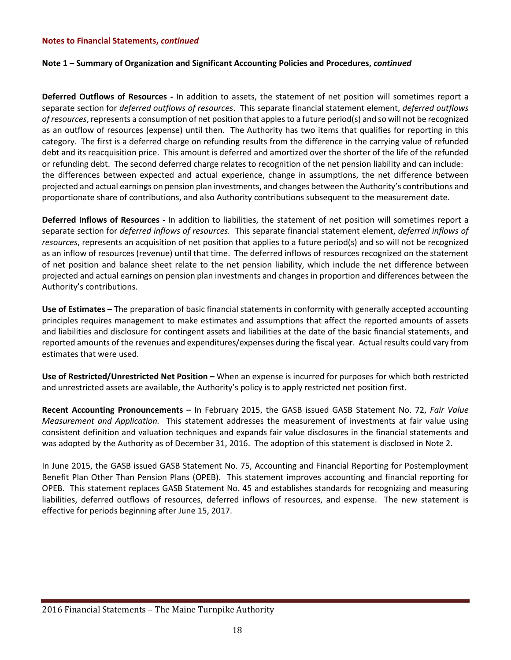#### **Note 1 – Summary of Organization and Significant Accounting Policies and Procedures,** *continued*

**Deferred Outflows of Resources -** In addition to assets, the statement of net position will sometimes report a separate section for *deferred outflows of resources*. This separate financial statement element, *deferred outflows of resources*, represents a consumption of net position that apples to a future period(s) and so will not be recognized as an outflow of resources (expense) until then. The Authority has two items that qualifies for reporting in this category. The first is a deferred charge on refunding results from the difference in the carrying value of refunded debt and its reacquisition price. This amount is deferred and amortized over the shorter of the life of the refunded or refunding debt. The second deferred charge relates to recognition of the net pension liability and can include: the differences between expected and actual experience, change in assumptions, the net difference between projected and actual earnings on pension plan investments, and changes between the Authority's contributions and proportionate share of contributions, and also Authority contributions subsequent to the measurement date.

**Deferred Inflows of Resources -** In addition to liabilities, the statement of net position will sometimes report a separate section for *deferred inflows of resources.* This separate financial statement element, *deferred inflows of resources*, represents an acquisition of net position that applies to a future period(s) and so will not be recognized as an inflow of resources (revenue) until that time. The deferred inflows of resources recognized on the statement of net position and balance sheet relate to the net pension liability, which include the net difference between projected and actual earnings on pension plan investments and changes in proportion and differences between the Authority's contributions.

**Use of Estimates –** The preparation of basic financial statements in conformity with generally accepted accounting principles requires management to make estimates and assumptions that affect the reported amounts of assets and liabilities and disclosure for contingent assets and liabilities at the date of the basic financial statements, and reported amounts of the revenues and expenditures/expenses during the fiscal year. Actual results could vary from estimates that were used.

**Use of Restricted/Unrestricted Net Position –** When an expense is incurred for purposes for which both restricted and unrestricted assets are available, the Authority's policy is to apply restricted net position first.

**Recent Accounting Pronouncements –** In February 2015, the GASB issued GASB Statement No. 72, *Fair Value Measurement and Application.* This statement addresses the measurement of investments at fair value using consistent definition and valuation techniques and expands fair value disclosures in the financial statements and was adopted by the Authority as of December 31, 2016. The adoption of this statement is disclosed in Note 2.

In June 2015, the GASB issued GASB Statement No. 75, Accounting and Financial Reporting for Postemployment Benefit Plan Other Than Pension Plans (OPEB). This statement improves accounting and financial reporting for OPEB. This statement replaces GASB Statement No. 45 and establishes standards for recognizing and measuring liabilities, deferred outflows of resources, deferred inflows of resources, and expense. The new statement is effective for periods beginning after June 15, 2017.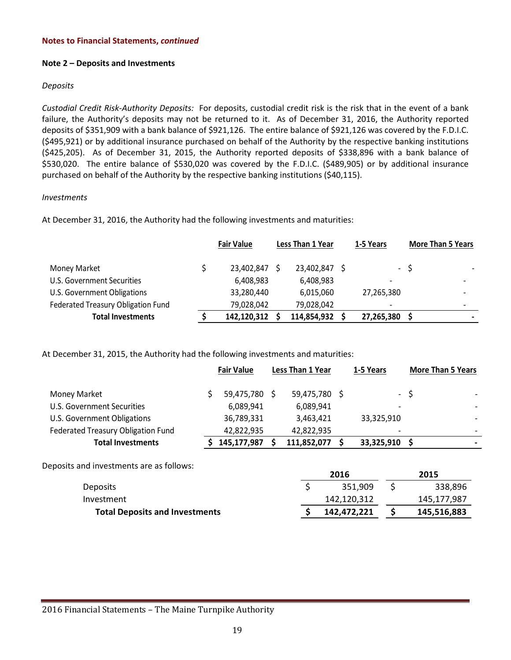#### **Note 2 – Deposits and Investments**

#### *Deposits*

*Custodial Credit Risk-Authority Deposits:* For deposits, custodial credit risk is the risk that in the event of a bank failure, the Authority's deposits may not be returned to it. As of December 31, 2016, the Authority reported deposits of \$351,909 with a bank balance of \$921,126. The entire balance of \$921,126 was covered by the F.D.I.C. (\$495,921) or by additional insurance purchased on behalf of the Authority by the respective banking institutions (\$425,205). As of December 31, 2015, the Authority reported deposits of \$338,896 with a bank balance of \$530,020. The entire balance of \$530,020 was covered by the F.D.I.C. (\$489,905) or by additional insurance purchased on behalf of the Authority by the respective banking institutions (\$40,115).

#### *Investments*

At December 31, 2016, the Authority had the following investments and maturities:

|                                    | <b>Fair Value</b> | Less Than 1 Year | 1-5 Years                |      | <b>More Than 5 Years</b> |
|------------------------------------|-------------------|------------------|--------------------------|------|--------------------------|
| Money Market                       | 23,402,847        | 23,402,847       |                          | $-5$ |                          |
| U.S. Government Securities         | 6,408,983         | 6,408,983        |                          |      |                          |
| U.S. Government Obligations        | 33,280,440        | 6,015,060        | 27,265,380               |      |                          |
| Federated Treasury Obligation Fund | 79,028,042        | 79,028,042       | $\overline{\phantom{0}}$ |      | $\overline{\phantom{0}}$ |
| <b>Total Investments</b>           | 142,120,312       | 114,854,932      | 27,265,380               |      |                          |

At December 31, 2015, the Authority had the following investments and maturities:

|                                    | <b>Fair Value</b> |               | Less Than 1 Year |  | 1-5 Years  | <b>More Than 5 Years</b> |  |
|------------------------------------|-------------------|---------------|------------------|--|------------|--------------------------|--|
|                                    |                   |               |                  |  |            |                          |  |
| Money Market                       |                   | 59,475,780 \$ | 59,475,780 \$    |  |            | - \$                     |  |
| U.S. Government Securities         |                   | 6,089,941     | 6,089,941        |  |            |                          |  |
| U.S. Government Obligations        |                   | 36,789,331    | 3,463,421        |  | 33,325,910 |                          |  |
| Federated Treasury Obligation Fund |                   | 42,822,935    | 42,822,935       |  |            |                          |  |
| <b>Total Investments</b>           |                   | 145,177,987   | 111,852,077      |  | 33,325,910 |                          |  |

Deposits and investments are as follows:

|                                       | 2016        | 2015        |
|---------------------------------------|-------------|-------------|
| <b>Deposits</b>                       | 351.909     | 338,896     |
| Investment                            | 142,120,312 | 145,177,987 |
| <b>Total Deposits and Investments</b> | 142,472,221 | 145,516,883 |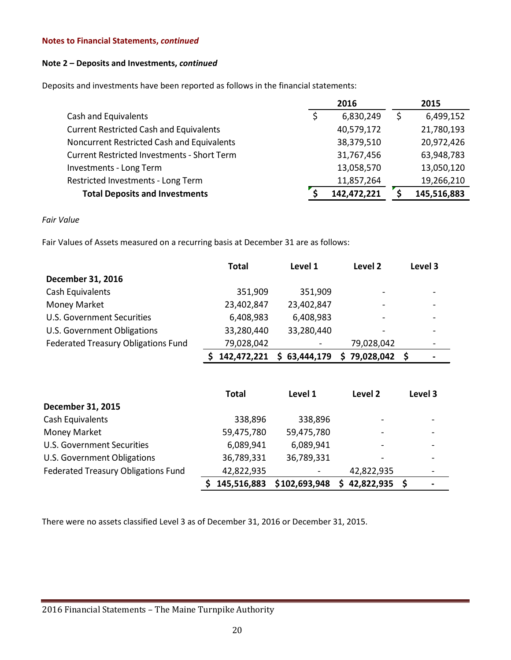#### **Note 2 – Deposits and Investments,** *continued*

Deposits and investments have been reported as follows in the financial statements:

|                                                    | 2016            | 2015        |
|----------------------------------------------------|-----------------|-------------|
| Cash and Equivalents                               | \$<br>6,830,249 | 6,499,152   |
| <b>Current Restricted Cash and Equivalents</b>     | 40,579,172      | 21,780,193  |
| Noncurrent Restricted Cash and Equivalents         | 38,379,510      | 20,972,426  |
| <b>Current Restricted Investments - Short Term</b> | 31,767,456      | 63,948,783  |
| Investments - Long Term                            | 13,058,570      | 13,050,120  |
| Restricted Investments - Long Term                 | 11,857,264      | 19,266,210  |
| <b>Total Deposits and Investments</b>              | 142,472,221     | 145,516,883 |

*Fair Value*

Fair Values of Assets measured on a recurring basis at December 31 are as follows:

|                                     | <b>Total</b> | Level 1    | Level 2                  | Level 3 |
|-------------------------------------|--------------|------------|--------------------------|---------|
| December 31, 2016                   |              |            |                          |         |
| Cash Equivalents                    | 351,909      | 351,909    | $\overline{\phantom{a}}$ |         |
| <b>Money Market</b>                 | 23,402,847   | 23,402,847 | $\overline{\phantom{a}}$ |         |
| <b>U.S. Government Securities</b>   | 6,408,983    | 6,408,983  | $\overline{\phantom{a}}$ |         |
| U.S. Government Obligations         | 33,280,440   | 33,280,440 | $\overline{\phantom{a}}$ |         |
| Federated Treasury Obligations Fund | 79,028,042   |            | 79,028,042               |         |
|                                     | 142,472,221  | 63,444,179 | 79,028,042               | -S      |

|                                     | <b>Total</b> | Level 1       | Level 2                  | Level 3 |
|-------------------------------------|--------------|---------------|--------------------------|---------|
| December 31, 2015                   |              |               |                          |         |
| Cash Equivalents                    | 338,896      | 338,896       | -                        |         |
| Money Market                        | 59,475,780   | 59,475,780    |                          |         |
| U.S. Government Securities          | 6,089,941    | 6,089,941     | $\overline{\phantom{a}}$ |         |
| U.S. Government Obligations         | 36,789,331   | 36,789,331    |                          |         |
| Federated Treasury Obligations Fund | 42,822,935   |               | 42,822,935               | -       |
|                                     | 145,516,883  | \$102,693,948 | 42,822,935               |         |

There were no assets classified Level 3 as of December 31, 2016 or December 31, 2015.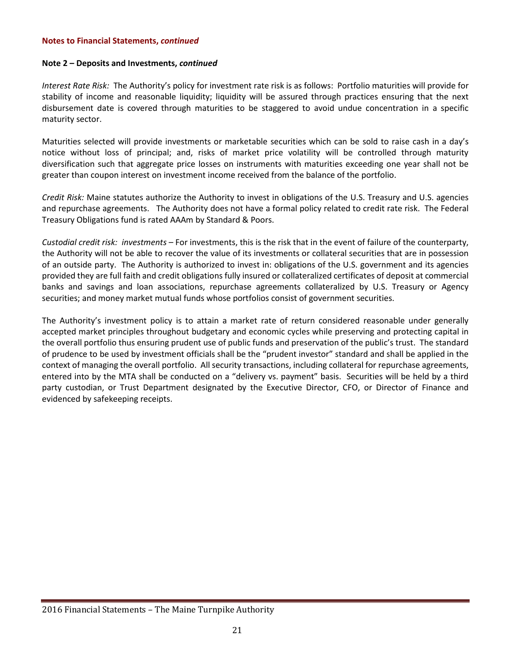#### **Note 2 – Deposits and Investments,** *continued*

*Interest Rate Risk:* The Authority's policy for investment rate risk is as follows: Portfolio maturities will provide for stability of income and reasonable liquidity; liquidity will be assured through practices ensuring that the next disbursement date is covered through maturities to be staggered to avoid undue concentration in a specific maturity sector.

Maturities selected will provide investments or marketable securities which can be sold to raise cash in a day's notice without loss of principal; and, risks of market price volatility will be controlled through maturity diversification such that aggregate price losses on instruments with maturities exceeding one year shall not be greater than coupon interest on investment income received from the balance of the portfolio.

*Credit Risk:* Maine statutes authorize the Authority to invest in obligations of the U.S. Treasury and U.S. agencies and repurchase agreements. The Authority does not have a formal policy related to credit rate risk. The Federal Treasury Obligations fund is rated AAAm by Standard & Poors.

*Custodial credit risk: investments –* For investments, this is the risk that in the event of failure of the counterparty, the Authority will not be able to recover the value of its investments or collateral securities that are in possession of an outside party. The Authority is authorized to invest in: obligations of the U.S. government and its agencies provided they are full faith and credit obligations fully insured or collateralized certificates of deposit at commercial banks and savings and loan associations, repurchase agreements collateralized by U.S. Treasury or Agency securities; and money market mutual funds whose portfolios consist of government securities.

The Authority's investment policy is to attain a market rate of return considered reasonable under generally accepted market principles throughout budgetary and economic cycles while preserving and protecting capital in the overall portfolio thus ensuring prudent use of public funds and preservation of the public's trust. The standard of prudence to be used by investment officials shall be the "prudent investor" standard and shall be applied in the context of managing the overall portfolio. All security transactions, including collateral for repurchase agreements, entered into by the MTA shall be conducted on a "delivery vs. payment" basis. Securities will be held by a third party custodian, or Trust Department designated by the Executive Director, CFO, or Director of Finance and evidenced by safekeeping receipts.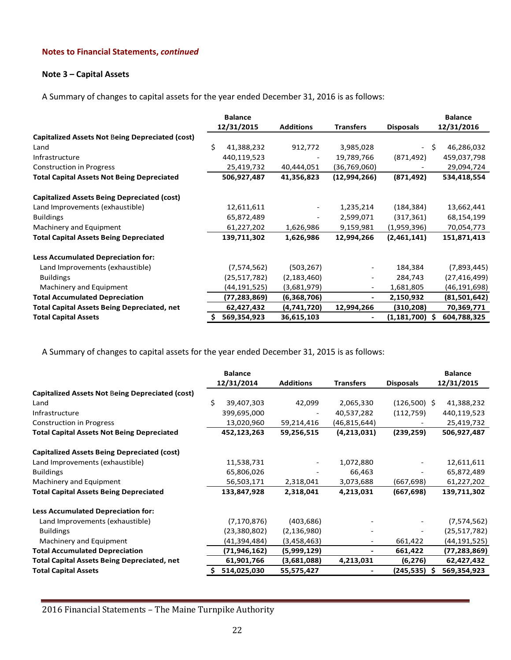# **Note 3 – Capital Assets**

A Summary of changes to capital assets for the year ended December 31, 2016 is as follows:

|                                                        |   | <b>Balance</b> |                          |                          |                                | <b>Balance</b> |
|--------------------------------------------------------|---|----------------|--------------------------|--------------------------|--------------------------------|----------------|
|                                                        |   | 12/31/2015     | <b>Additions</b>         | <b>Transfers</b>         | <b>Disposals</b>               | 12/31/2016     |
| <b>Capitalized Assets Not Being Depreciated (cost)</b> |   |                |                          |                          |                                |                |
| Land                                                   | Ś | 41,388,232     | 912,772                  | 3,985,028                | -S<br>$\overline{\phantom{a}}$ | 46,286,032     |
| Infrastructure                                         |   | 440,119,523    |                          | 19,789,766               | (871, 492)                     | 459,037,798    |
| <b>Construction in Progress</b>                        |   | 25,419,732     | 40,444,051               | (36,769,060)             |                                | 29,094,724     |
| <b>Total Capital Assets Not Being Depreciated</b>      |   | 506,927,487    | 41,356,823               | (12,994,266)             | (871, 492)                     | 534,418,554    |
| <b>Capitalized Assets Being Depreciated (cost)</b>     |   |                |                          |                          |                                |                |
| Land Improvements (exhaustible)                        |   | 12,611,611     | $\overline{\phantom{a}}$ | 1,235,214                | (184, 384)                     | 13,662,441     |
| <b>Buildings</b>                                       |   | 65,872,489     |                          | 2,599,071                | (317, 361)                     | 68,154,199     |
| Machinery and Equipment                                |   | 61,227,202     | 1,626,986                | 9,159,981                | (1,959,396)                    | 70,054,773     |
| <b>Total Capital Assets Being Depreciated</b>          |   | 139,711,302    | 1,626,986                | 12,994,266               | (2,461,141)                    | 151,871,413    |
| Less Accumulated Depreciation for:                     |   |                |                          |                          |                                |                |
| Land Improvements (exhaustible)                        |   | (7,574,562)    | (503, 267)               | $\overline{\phantom{a}}$ | 184,384                        | (7,893,445)    |
| <b>Buildings</b>                                       |   | (25, 517, 782) | (2, 183, 460)            | $\overline{\phantom{a}}$ | 284,743                        | (27, 416, 499) |
| Machinery and Equipment                                |   | (44,191,525)   | (3,681,979)              | $\sim$                   | 1,681,805                      | (46,191,698)   |
| <b>Total Accumulated Depreciation</b>                  |   | (77,283,869)   | (6,368,706)              | $\blacksquare$           | 2,150,932                      | (81,501,642)   |
| <b>Total Capital Assets Being Depreciated, net</b>     |   | 62,427,432     | (4,741,720)              | 12,994,266               | (310, 208)                     | 70,369,771     |
| <b>Total Capital Assets</b>                            |   | 569,354,923    | 36,615,103               |                          | (1, 181, 700)<br>S             | 604,788,325    |

A Summary of changes to capital assets for the year ended December 31, 2015 is as follows:

|                                                        | <b>Balance</b>  |                  |                  |                  | <b>Balance</b> |
|--------------------------------------------------------|-----------------|------------------|------------------|------------------|----------------|
|                                                        | 12/31/2014      | <b>Additions</b> | <b>Transfers</b> | <b>Disposals</b> | 12/31/2015     |
| <b>Capitalized Assets Not Being Depreciated (cost)</b> |                 |                  |                  |                  |                |
| Land                                                   | Ś<br>39,407,303 | 42,099           | 2,065,330        | $(126,500)$ \$   | 41,388,232     |
| Infrastructure                                         | 399,695,000     |                  | 40,537,282       | (112, 759)       | 440,119,523    |
| <b>Construction in Progress</b>                        | 13,020,960      | 59,214,416       | (46, 815, 644)   |                  | 25,419,732     |
| <b>Total Capital Assets Not Being Depreciated</b>      | 452,123,263     | 59,256,515       | (4, 213, 031)    | (239, 259)       | 506,927,487    |
| <b>Capitalized Assets Being Depreciated (cost)</b>     |                 |                  |                  |                  |                |
| Land Improvements (exhaustible)                        | 11,538,731      |                  | 1,072,880        |                  | 12,611,611     |
| <b>Buildings</b>                                       | 65,806,026      |                  | 66,463           |                  | 65,872,489     |
| Machinery and Equipment                                | 56,503,171      | 2,318,041        | 3,073,688        | (667, 698)       | 61,227,202     |
| <b>Total Capital Assets Being Depreciated</b>          | 133,847,928     | 2,318,041        | 4,213,031        | (667, 698)       | 139,711,302    |
| <b>Less Accumulated Depreciation for:</b>              |                 |                  |                  |                  |                |
| Land Improvements (exhaustible)                        | (7, 170, 876)   | (403, 686)       |                  |                  | (7,574,562)    |
| <b>Buildings</b>                                       | (23,380,802)    | (2, 136, 980)    |                  |                  | (25,517,782)   |
| Machinery and Equipment                                | (41,394,484)    | (3,458,463)      | ٠                | 661,422          | (44,191,525)   |
| <b>Total Accumulated Depreciation</b>                  | (71, 946, 162)  | (5,999,129)      | ۰                | 661,422          | (77, 283, 869) |
| <b>Total Capital Assets Being Depreciated, net</b>     | 61,901,766      | (3,681,088)      | 4,213,031        | (6, 276)         | 62,427,432     |
| <b>Total Capital Assets</b>                            | 514,025,030     | 55,575,427       |                  | (245,535) \$     | 569,354,923    |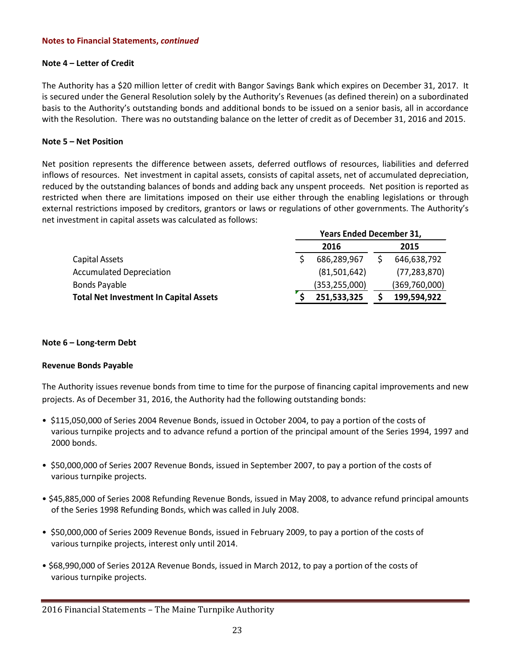#### **Note 4 – Letter of Credit**

The Authority has a \$20 million letter of credit with Bangor Savings Bank which expires on December 31, 2017. It is secured under the General Resolution solely by the Authority's Revenues (as defined therein) on a subordinated basis to the Authority's outstanding bonds and additional bonds to be issued on a senior basis, all in accordance with the Resolution. There was no outstanding balance on the letter of credit as of December 31, 2016 and 2015.

#### **Note 5 – Net Position**

Net position represents the difference between assets, deferred outflows of resources, liabilities and deferred inflows of resources. Net investment in capital assets, consists of capital assets, net of accumulated depreciation, reduced by the outstanding balances of bonds and adding back any unspent proceeds. Net position is reported as restricted when there are limitations imposed on their use either through the enabling legislations or through external restrictions imposed by creditors, grantors or laws or regulations of other governments. The Authority's net investment in capital assets was calculated as follows:

|                                               | <b>Years Ended December 31,</b> |                 |  |                |  |
|-----------------------------------------------|---------------------------------|-----------------|--|----------------|--|
|                                               | 2016                            |                 |  | 2015           |  |
| Capital Assets                                |                                 | 686,289,967     |  | 646,638,792    |  |
| <b>Accumulated Depreciation</b>               |                                 | (81,501,642)    |  | (77, 283, 870) |  |
| Bonds Payable                                 |                                 | (353, 255, 000) |  | (369,760,000)  |  |
| <b>Total Net Investment In Capital Assets</b> |                                 | 251,533,325     |  | 199,594,922    |  |

#### **Note 6 – Long-term Debt**

#### **Revenue Bonds Payable**

The Authority issues revenue bonds from time to time for the purpose of financing capital improvements and new projects. As of December 31, 2016, the Authority had the following outstanding bonds:

- \$115,050,000 of Series 2004 Revenue Bonds, issued in October 2004, to pay a portion of the costs of various turnpike projects and to advance refund a portion of the principal amount of the Series 1994, 1997 and 2000 bonds.
- \$50,000,000 of Series 2007 Revenue Bonds, issued in September 2007, to pay a portion of the costs of various turnpike projects.
- \$45,885,000 of Series 2008 Refunding Revenue Bonds, issued in May 2008, to advance refund principal amounts of the Series 1998 Refunding Bonds, which was called in July 2008.
- \$50,000,000 of Series 2009 Revenue Bonds, issued in February 2009, to pay a portion of the costs of various turnpike projects, interest only until 2014.
- \$68,990,000 of Series 2012A Revenue Bonds, issued in March 2012, to pay a portion of the costs of various turnpike projects.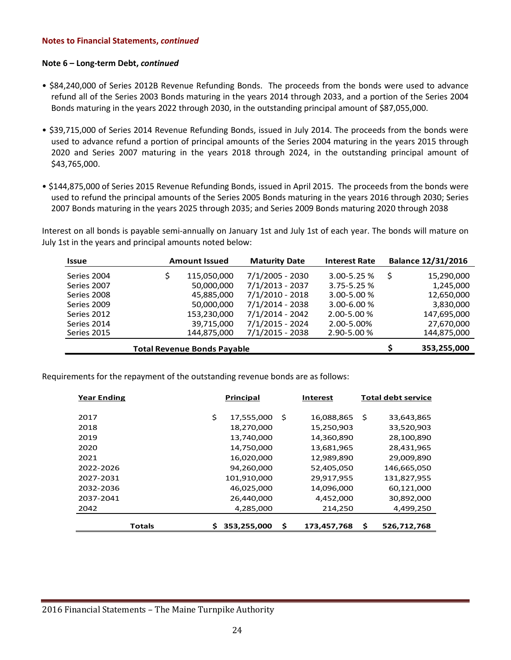#### **Note 6 – Long-term Debt,** *continued*

- \$84,240,000 of Series 2012B Revenue Refunding Bonds. The proceeds from the bonds were used to advance refund all of the Series 2003 Bonds maturing in the years 2014 through 2033, and a portion of the Series 2004 Bonds maturing in the years 2022 through 2030, in the outstanding principal amount of \$87,055,000.
- \$39,715,000 of Series 2014 Revenue Refunding Bonds, issued in July 2014. The proceeds from the bonds were used to advance refund a portion of principal amounts of the Series 2004 maturing in the years 2015 through 2020 and Series 2007 maturing in the years 2018 through 2024, in the outstanding principal amount of \$43,765,000.
- \$144,875,000 of Series 2015 Revenue Refunding Bonds, issued in April 2015. The proceeds from the bonds were used to refund the principal amounts of the Series 2005 Bonds maturing in the years 2016 through 2030; Series 2007 Bonds maturing in the years 2025 through 2035; and Series 2009 Bonds maturing 2020 through 2038

Interest on all bonds is payable semi-annually on January 1st and July 1st of each year. The bonds will mature on July 1st in the years and principal amounts noted below:

| <b>Issue</b>                       | <b>Amount Issued</b> | <b>Maturity Date</b> | <b>Interest Rate</b> |   | <b>Balance 12/31/2016</b> |
|------------------------------------|----------------------|----------------------|----------------------|---|---------------------------|
| Series 2004                        | 115,050,000          | $7/1/2005 - 2030$    | $3.00 - 5.25 %$      | Ś | 15,290,000                |
| Series 2007                        | 50,000,000           | $7/1/2013 - 2037$    | $3.75 - 5.25 %$      |   | 1,245,000                 |
| Series 2008                        | 45,885,000           | $7/1/2010 - 2018$    | 3.00-5.00 %          |   | 12,650,000                |
| Series 2009                        | 50,000,000           | $7/1/2014 - 2038$    | $3.00 - 6.00 %$      |   | 3,830,000                 |
| Series 2012                        | 153,230,000          | 7/1/2014 - 2042      | 2.00-5.00 %          |   | 147,695,000               |
| Series 2014                        | 39,715,000           | 7/1/2015 - 2024      | 2.00-5.00%           |   | 27,670,000                |
| Series 2015                        | 144,875,000          | $7/1/2015 - 2038$    | 2.90-5.00 %          |   | 144,875,000               |
| <b>Total Revenue Bonds Payable</b> |                      | 353,255,000          |                      |   |                           |

Requirements for the repayment of the outstanding revenue bonds are as follows:

| <b>Year Ending</b> |    | Principal   |    | <b>Interest</b> |    | <b>Total debt service</b> |
|--------------------|----|-------------|----|-----------------|----|---------------------------|
|                    |    |             |    |                 |    |                           |
| 2017               | \$ | 17,555,000  | Ś  | 16,088,865      | S  | 33,643,865                |
| 2018               |    | 18,270,000  |    | 15,250,903      |    | 33,520,903                |
| 2019               |    | 13,740,000  |    | 14,360,890      |    | 28,100,890                |
| 2020               |    | 14,750,000  |    | 13,681,965      |    | 28,431,965                |
| 2021               |    | 16,020,000  |    | 12,989,890      |    | 29,009,890                |
| 2022-2026          |    | 94,260,000  |    | 52,405,050      |    | 146,665,050               |
| 2027-2031          |    | 101,910,000 |    | 29,917,955      |    | 131,827,955               |
| 2032-2036          |    | 46,025,000  |    | 14,096,000      |    | 60,121,000                |
| 2037-2041          |    | 26,440,000  |    | 4,452,000       |    | 30,892,000                |
| 2042               |    | 4,285,000   |    | 214,250         |    | 4,499,250                 |
|                    |    |             |    |                 |    |                           |
| <b>Totals</b>      | Ś  | 353,255,000 | \$ | 173,457,768     | \$ | 526,712,768               |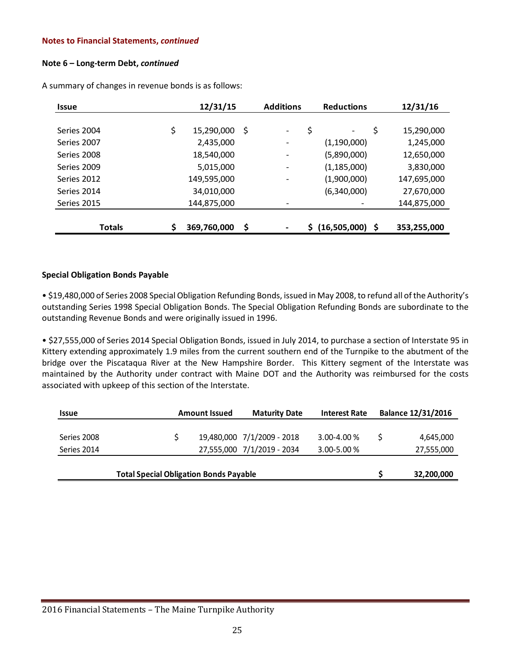#### **Note 6 – Long-term Debt,** *continued*

| <b>Issue</b>  | 12/31/15          | <b>Additions</b>               |     | <b>Reductions</b> | 12/31/16    |
|---------------|-------------------|--------------------------------|-----|-------------------|-------------|
|               |                   |                                |     |                   |             |
| Series 2004   | \$<br>15,290,000  | \$<br>$\overline{\phantom{a}}$ | \$  | \$                | 15,290,000  |
| Series 2007   | 2,435,000         | -                              |     | (1,190,000)       | 1,245,000   |
| Series 2008   | 18,540,000        | -                              |     | (5,890,000)       | 12,650,000  |
| Series 2009   | 5,015,000         | $\overline{\phantom{a}}$       |     | (1, 185, 000)     | 3,830,000   |
| Series 2012   | 149,595,000       | $\overline{\phantom{a}}$       |     | (1,900,000)       | 147,695,000 |
| Series 2014   | 34,010,000        |                                |     | (6,340,000)       | 27,670,000  |
| Series 2015   | 144,875,000       |                                |     |                   | 144,875,000 |
|               |                   |                                |     |                   |             |
| <b>Totals</b> | \$<br>369,760,000 | \$                             | \$. | $(16,505,000)$ \$ | 353,255,000 |

A summary of changes in revenue bonds is as follows:

#### **Special Obligation Bonds Payable**

• \$19,480,000 of Series 2008 Special Obligation Refunding Bonds, issued in May 2008, to refund all of the Authority's outstanding Series 1998 Special Obligation Bonds. The Special Obligation Refunding Bonds are subordinate to the outstanding Revenue Bonds and were originally issued in 1996.

• \$27,555,000 of Series 2014 Special Obligation Bonds, issued in July 2014, to purchase a section of Interstate 95 in Kittery extending approximately 1.9 miles from the current southern end of the Turnpike to the abutment of the bridge over the Piscataqua River at the New Hampshire Border. This Kittery segment of the Interstate was maintained by the Authority under contract with Maine DOT and the Authority was reimbursed for the costs associated with upkeep of this section of the Interstate.

| <b>Issue</b>               |                                               | <b>Amount Issued</b> | <b>Maturity Date</b>                                     | <b>Interest Rate</b>               | <b>Balance 12/31/2016</b> |
|----------------------------|-----------------------------------------------|----------------------|----------------------------------------------------------|------------------------------------|---------------------------|
| Series 2008<br>Series 2014 |                                               |                      | 19,480,000 7/1/2009 - 2018<br>27,555,000 7/1/2019 - 2034 | $3.00 - 4.00 %$<br>$3.00 - 5.00 %$ | 4,645,000<br>27,555,000   |
|                            | <b>Total Special Obligation Bonds Payable</b> |                      |                                                          |                                    | 32,200,000                |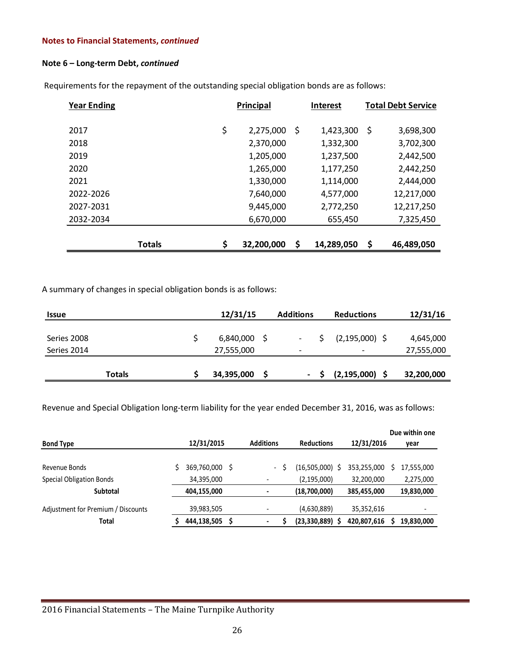#### **Note 6 – Long-term Debt,** *continued*

| <b>Year Ending</b> | <b>Principal</b>       | <b>Interest</b> | <b>Total Debt Service</b> |
|--------------------|------------------------|-----------------|---------------------------|
|                    |                        |                 |                           |
| 2017               | \$<br>\$<br>2,275,000  | 1,423,300       | \$<br>3,698,300           |
| 2018               | 2,370,000              | 1,332,300       | 3,702,300                 |
| 2019               | 1,205,000              | 1,237,500       | 2,442,500                 |
| 2020               | 1,265,000              | 1,177,250       | 2,442,250                 |
| 2021               | 1,330,000              | 1,114,000       | 2,444,000                 |
| 2022-2026          | 7,640,000              | 4,577,000       | 12,217,000                |
| 2027-2031          | 9,445,000              | 2,772,250       | 12,217,250                |
| 2032-2034          | 6,670,000              | 655,450         | 7,325,450                 |
|                    |                        |                 |                           |
| <b>Totals</b>      | \$<br>\$<br>32,200,000 | 14,289,050      | \$<br>46,489,050          |

Requirements for the repayment of the outstanding special obligation bonds are as follows:

A summary of changes in special obligation bonds is as follows:

| Issue       |               | 12/31/15   | <b>Additions</b>         | <b>Reductions</b>        | 12/31/16   |
|-------------|---------------|------------|--------------------------|--------------------------|------------|
|             |               |            |                          |                          |            |
| Series 2008 |               | 6,840,000  | $\overline{\phantom{a}}$ | $(2,195,000)$ \$         | 4,645,000  |
| Series 2014 |               | 27,555,000 | $\overline{\phantom{0}}$ | $\overline{\phantom{0}}$ | 27,555,000 |
|             |               |            |                          |                          |            |
|             | <b>Totals</b> | 34,395,000 | $\sim$                   | $(2, 195, 000)$ \$       | 32,200,000 |

Revenue and Special Obligation long-term liability for the year ended December 31, 2016, was as follows:

| <b>Bond Type</b>                   | 12/31/2015     | <b>Additions</b>         | <b>Reductions</b> | 12/31/2016  | Due within one<br>year |
|------------------------------------|----------------|--------------------------|-------------------|-------------|------------------------|
|                                    |                |                          |                   |             |                        |
| Revenue Bonds                      | 369,760,000 \$ | $\overline{\phantom{a}}$ | $(16,505,000)$ \$ | 353,255,000 | 17,555,000             |
| Special Obligation Bonds           | 34,395,000     |                          | (2, 195, 000)     | 32,200,000  | 2,275,000              |
| <b>Subtotal</b>                    | 404,155,000    |                          | (18,700,000)      | 385,455,000 | 19,830,000             |
| Adjustment for Premium / Discounts | 39,983,505     |                          | (4,630,889)       | 35,352,616  |                        |
| Total                              | 444,138,505    | $\blacksquare$           | $(23,330,889)$ \$ | 420,807,616 | 19,830,000             |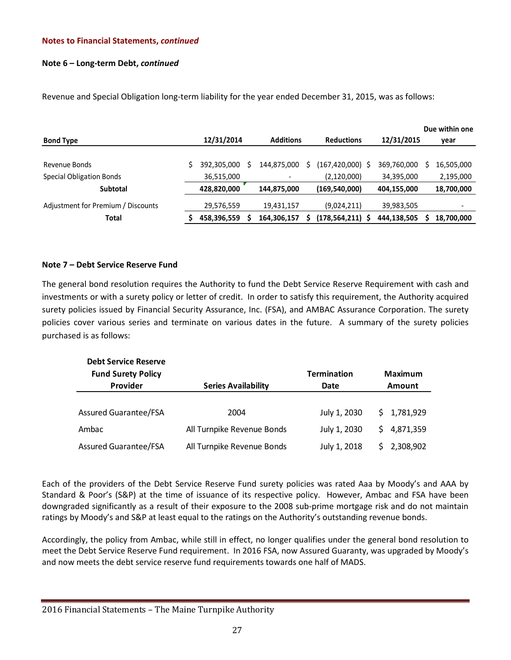# **Note 6 – Long-term Debt,** *continued*

| <b>Bond Type</b>                   | 12/31/2014  | <b>Additions</b> | <b>Reductions</b>    | 12/31/2015  | Due within one<br>year   |
|------------------------------------|-------------|------------------|----------------------|-------------|--------------------------|
|                                    |             |                  |                      |             |                          |
| Revenue Bonds                      | 392,305,000 | 144.875.000      | (167,420,000)        | 369,760,000 | 16,505,000               |
| <b>Special Obligation Bonds</b>    | 36,515,000  |                  | (2,120,000)          | 34,395,000  | 2,195,000                |
| <b>Subtotal</b>                    | 428,820,000 | 144,875,000      | (169, 540, 000)      | 404,155,000 | 18,700,000               |
| Adjustment for Premium / Discounts | 29,576,559  | 19,431,157       | (9,024,211)          | 39,983,505  | $\overline{\phantom{a}}$ |
| Total                              | 458,396,559 | 164,306,157      | $(178, 564, 211)$ \$ | 444,138,505 | 18,700,000               |

Revenue and Special Obligation long-term liability for the year ended December 31, 2015, was as follows:

# **Note 7 – Debt Service Reserve Fund**

The general bond resolution requires the Authority to fund the Debt Service Reserve Requirement with cash and investments or with a surety policy or letter of credit. In order to satisfy this requirement, the Authority acquired surety policies issued by Financial Security Assurance, Inc. (FSA), and AMBAC Assurance Corporation. The surety policies cover various series and terminate on various dates in the future. A summary of the surety policies purchased is as follows:

| <b>Debt Service Reserve</b>  |                            |                    |                |
|------------------------------|----------------------------|--------------------|----------------|
| <b>Fund Surety Policy</b>    |                            | <b>Termination</b> | <b>Maximum</b> |
| Provider                     | <b>Series Availability</b> | Date               | <b>Amount</b>  |
|                              |                            |                    |                |
| <b>Assured Guarantee/FSA</b> | 2004                       | July 1, 2030       | \$1,781,929    |
| Ambac                        | All Turnpike Revenue Bonds | July 1, 2030       | \$4,871,359    |
| <b>Assured Guarantee/FSA</b> | All Turnpike Revenue Bonds | July 1, 2018       | 2,308,902      |

Each of the providers of the Debt Service Reserve Fund surety policies was rated Aaa by Moody's and AAA by Standard & Poor's (S&P) at the time of issuance of its respective policy. However, Ambac and FSA have been downgraded significantly as a result of their exposure to the 2008 sub-prime mortgage risk and do not maintain ratings by Moody's and S&P at least equal to the ratings on the Authority's outstanding revenue bonds.

Accordingly, the policy from Ambac, while still in effect, no longer qualifies under the general bond resolution to meet the Debt Service Reserve Fund requirement. In 2016 FSA, now Assured Guaranty, was upgraded by Moody's and now meets the debt service reserve fund requirements towards one half of MADS.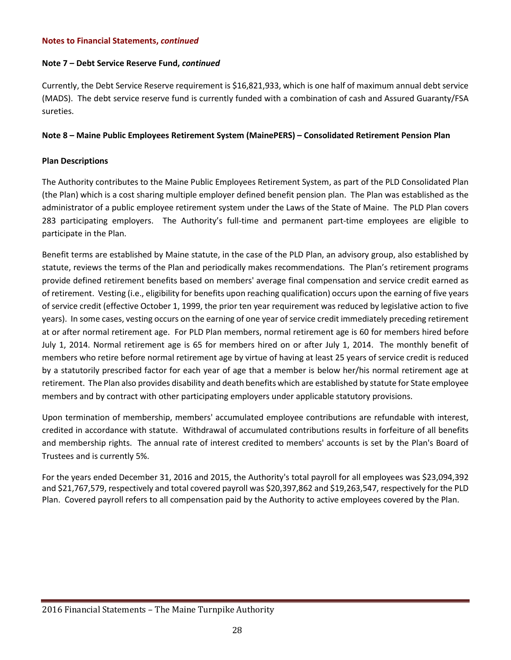#### **Note 7 – Debt Service Reserve Fund,** *continued*

Currently, the Debt Service Reserve requirement is \$16,821,933, which is one half of maximum annual debt service (MADS). The debt service reserve fund is currently funded with a combination of cash and Assured Guaranty/FSA sureties.

# **Note 8 – Maine Public Employees Retirement System (MainePERS) – Consolidated Retirement Pension Plan**

# **Plan Descriptions**

The Authority contributes to the Maine Public Employees Retirement System, as part of the PLD Consolidated Plan (the Plan) which is a cost sharing multiple employer defined benefit pension plan. The Plan was established as the administrator of a public employee retirement system under the Laws of the State of Maine. The PLD Plan covers 283 participating employers. The Authority's full-time and permanent part-time employees are eligible to participate in the Plan.

Benefit terms are established by Maine statute, in the case of the PLD Plan, an advisory group, also established by statute, reviews the terms of the Plan and periodically makes recommendations. The Plan's retirement programs provide defined retirement benefits based on members' average final compensation and service credit earned as of retirement. Vesting (i.e., eligibility for benefits upon reaching qualification) occurs upon the earning of five years of service credit (effective October 1, 1999, the prior ten year requirement was reduced by legislative action to five years). In some cases, vesting occurs on the earning of one year of service credit immediately preceding retirement at or after normal retirement age. For PLD Plan members, normal retirement age is 60 for members hired before July 1, 2014. Normal retirement age is 65 for members hired on or after July 1, 2014. The monthly benefit of members who retire before normal retirement age by virtue of having at least 25 years of service credit is reduced by a statutorily prescribed factor for each year of age that a member is below her/his normal retirement age at retirement. The Plan also provides disability and death benefits which are established by statute for State employee members and by contract with other participating employers under applicable statutory provisions.

Upon termination of membership, members' accumulated employee contributions are refundable with interest, credited in accordance with statute. Withdrawal of accumulated contributions results in forfeiture of all benefits and membership rights. The annual rate of interest credited to members' accounts is set by the Plan's Board of Trustees and is currently 5%.

For the years ended December 31, 2016 and 2015, the Authority's total payroll for all employees was \$23,094,392 and \$21,767,579, respectively and total covered payroll was \$20,397,862 and \$19,263,547, respectively for the PLD Plan. Covered payroll refers to all compensation paid by the Authority to active employees covered by the Plan.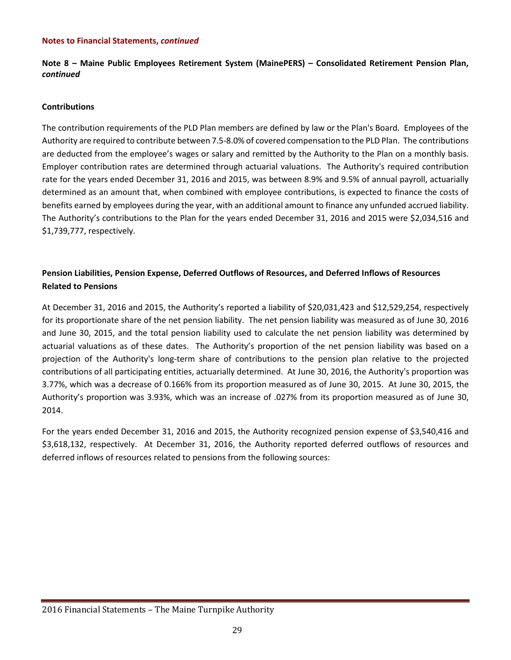**Note 8 – Maine Public Employees Retirement System (MainePERS) – Consolidated Retirement Pension Plan,** *continued*

#### **Contributions**

The contribution requirements of the PLD Plan members are defined by law or the Plan's Board. Employees of the Authority are required to contribute between 7.5-8.0% of covered compensation to the PLD Plan. The contributions are deducted from the employee's wages or salary and remitted by the Authority to the Plan on a monthly basis. Employer contribution rates are determined through actuarial valuations. The Authority's required contribution rate for the years ended December 31, 2016 and 2015, was between 8.9% and 9.5% of annual payroll, actuarially determined as an amount that, when combined with employee contributions, is expected to finance the costs of benefits earned by employees during the year, with an additional amount to finance any unfunded accrued liability. The Authority's contributions to the Plan for the years ended December 31, 2016 and 2015 were \$2,034,516 and \$1,739,777, respectively.

# **Pension Liabilities, Pension Expense, Deferred Outflows of Resources, and Deferred Inflows of Resources Related to Pensions**

At December 31, 2016 and 2015, the Authority's reported a liability of \$20,031,423 and \$12,529,254, respectively for its proportionate share of the net pension liability. The net pension liability was measured as of June 30, 2016 and June 30, 2015, and the total pension liability used to calculate the net pension liability was determined by actuarial valuations as of these dates. The Authority's proportion of the net pension liability was based on a projection of the Authority's long-term share of contributions to the pension plan relative to the projected contributions of all participating entities, actuarially determined. At June 30, 2016, the Authority's proportion was 3.77%, which was a decrease of 0.166% from its proportion measured as of June 30, 2015. At June 30, 2015, the Authority's proportion was 3.93%, which was an increase of .027% from its proportion measured as of June 30, 2014.

For the years ended December 31, 2016 and 2015, the Authority recognized pension expense of \$3,540,416 and \$3,618,132, respectively. At December 31, 2016, the Authority reported deferred outflows of resources and deferred inflows of resources related to pensions from the following sources: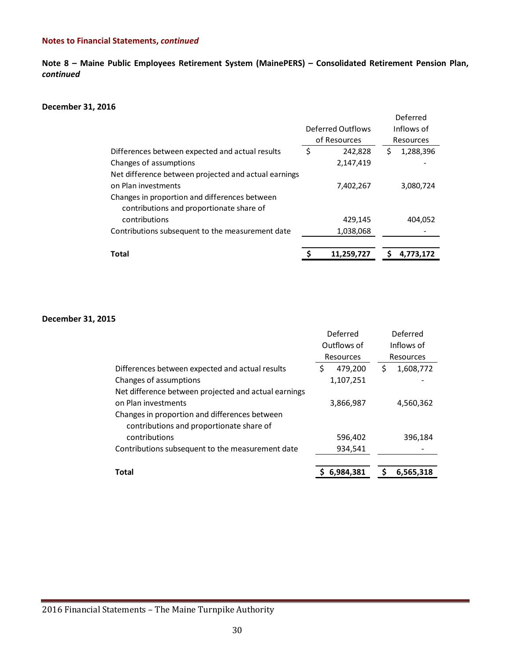**Note 8 – Maine Public Employees Retirement System (MainePERS) – Consolidated Retirement Pension Plan,** *continued*

#### **December 31, 2016**

|                                                      |                   |              |   | Deferred   |
|------------------------------------------------------|-------------------|--------------|---|------------|
|                                                      | Deferred Outflows |              |   | Inflows of |
|                                                      |                   | of Resources |   | Resources  |
| Differences between expected and actual results      | \$                | 242,828      | S | 1,288,396  |
| Changes of assumptions                               |                   | 2,147,419    |   |            |
| Net difference between projected and actual earnings |                   |              |   |            |
| on Plan investments                                  |                   | 7,402,267    |   | 3,080,724  |
| Changes in proportion and differences between        |                   |              |   |            |
| contributions and proportionate share of             |                   |              |   |            |
| contributions                                        |                   | 429,145      |   | 404,052    |
| Contributions subsequent to the measurement date     |                   | 1,038,068    |   |            |
|                                                      |                   |              |   |            |
| <b>Total</b>                                         |                   | 11,259,727   |   | 4.773.172  |

#### **December 31, 2015**

|                                                      | Deferred      | Deferred        |
|------------------------------------------------------|---------------|-----------------|
|                                                      | Outflows of   | Inflows of      |
|                                                      | Resources     | Resources       |
| Differences between expected and actual results      | \$<br>479,200 | \$<br>1,608,772 |
| Changes of assumptions                               | 1,107,251     |                 |
| Net difference between projected and actual earnings |               |                 |
| on Plan investments                                  | 3,866,987     | 4,560,362       |
| Changes in proportion and differences between        |               |                 |
| contributions and proportionate share of             |               |                 |
| contributions                                        | 596,402       | 396,184         |
| Contributions subsequent to the measurement date     | 934,541       |                 |
|                                                      |               |                 |
| <b>Total</b>                                         | 6,984,381     | 6,565,318       |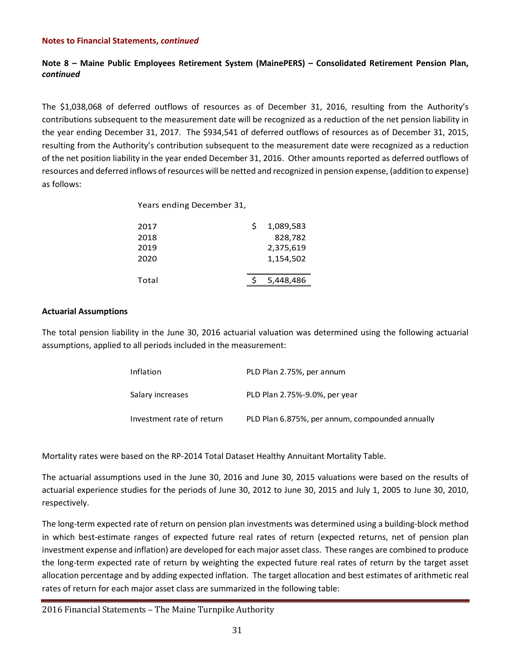# **Note 8 – Maine Public Employees Retirement System (MainePERS) – Consolidated Retirement Pension Plan,** *continued*

The \$1,038,068 of deferred outflows of resources as of December 31, 2016, resulting from the Authority's contributions subsequent to the measurement date will be recognized as a reduction of the net pension liability in the year ending December 31, 2017. The \$934,541 of deferred outflows of resources as of December 31, 2015, resulting from the Authority's contribution subsequent to the measurement date were recognized as a reduction of the net position liability in the year ended December 31, 2016. Other amounts reported as deferred outflows of resources and deferred inflows of resources will be netted and recognized in pension expense, (addition to expense) as follows:

Years ending December 31,

| 2017  | S | 1,089,583 |
|-------|---|-----------|
| 2018  |   | 828,782   |
| 2019  |   | 2,375,619 |
| 2020  |   | 1,154,502 |
|       |   |           |
| Total |   | 5,448,486 |

#### **Actuarial Assumptions**

The total pension liability in the June 30, 2016 actuarial valuation was determined using the following actuarial assumptions, applied to all periods included in the measurement:

| Inflation                 | PLD Plan 2.75%, per annum                       |
|---------------------------|-------------------------------------------------|
| Salary increases          | PLD Plan 2.75%-9.0%, per year                   |
| Investment rate of return | PLD Plan 6.875%, per annum, compounded annually |

Mortality rates were based on the RP-2014 Total Dataset Healthy Annuitant Mortality Table.

The actuarial assumptions used in the June 30, 2016 and June 30, 2015 valuations were based on the results of actuarial experience studies for the periods of June 30, 2012 to June 30, 2015 and July 1, 2005 to June 30, 2010, respectively.

The long-term expected rate of return on pension plan investments was determined using a building-block method in which best-estimate ranges of expected future real rates of return (expected returns, net of pension plan investment expense and inflation) are developed for each major asset class. These ranges are combined to produce the long-term expected rate of return by weighting the expected future real rates of return by the target asset allocation percentage and by adding expected inflation. The target allocation and best estimates of arithmetic real rates of return for each major asset class are summarized in the following table: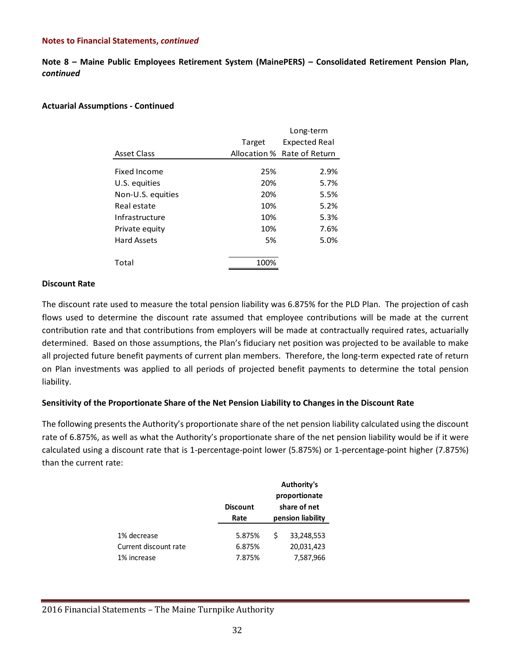**Note 8 – Maine Public Employees Retirement System (MainePERS) – Consolidated Retirement Pension Plan,** *continued*

### **Actuarial Assumptions - Continued**

| Long-term |                             |  |
|-----------|-----------------------------|--|
| Target    | <b>Expected Real</b>        |  |
|           | Allocation % Rate of Return |  |
|           |                             |  |
|           | 2.9%                        |  |
| 20%       | 5.7%                        |  |
| 20%       | 5.5%                        |  |
| 10%       | 5.2%                        |  |
| 10%       | 5.3%                        |  |
| 10%       | 7.6%                        |  |
| 5%        | 5.0%                        |  |
|           |                             |  |
| 100%      |                             |  |
|           | 25%                         |  |

#### **Discount Rate**

The discount rate used to measure the total pension liability was 6.875% for the PLD Plan. The projection of cash flows used to determine the discount rate assumed that employee contributions will be made at the current contribution rate and that contributions from employers will be made at contractually required rates, actuarially determined. Based on those assumptions, the Plan's fiduciary net position was projected to be available to make all projected future benefit payments of current plan members. Therefore, the long-term expected rate of return on Plan investments was applied to all periods of projected benefit payments to determine the total pension liability.

# **Sensitivity of the Proportionate Share of the Net Pension Liability to Changes in the Discount Rate**

The following presents the Authority's proportionate share of the net pension liability calculated using the discount rate of 6.875%, as well as what the Authority's proportionate share of the net pension liability would be if it were calculated using a discount rate that is 1-percentage-point lower (5.875%) or 1-percentage-point higher (7.875%) than the current rate:

|                       | <b>Discount</b><br>Rate | Authority's<br>proportionate<br>share of net<br>pension liability |            |
|-----------------------|-------------------------|-------------------------------------------------------------------|------------|
| 1% decrease           | 5.875%                  |                                                                   | 33,248,553 |
| Current discount rate | 6.875%                  |                                                                   | 20,031,423 |
| 1% increase           | 7.875%                  |                                                                   | 7,587,966  |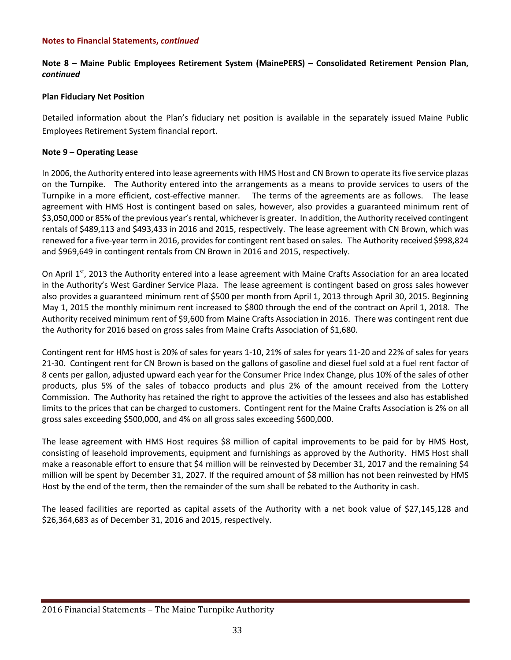# **Note 8 – Maine Public Employees Retirement System (MainePERS) – Consolidated Retirement Pension Plan,** *continued*

#### **Plan Fiduciary Net Position**

Detailed information about the Plan's fiduciary net position is available in the separately issued Maine Public Employees Retirement System financial report.

### **Note 9 – Operating Lease**

In 2006, the Authority entered into lease agreements with HMS Host and CN Brown to operate its five service plazas on the Turnpike. The Authority entered into the arrangements as a means to provide services to users of the Turnpike in a more efficient, cost-effective manner. The terms of the agreements are as follows. The lease agreement with HMS Host is contingent based on sales, however, also provides a guaranteed minimum rent of \$3,050,000 or 85% of the previous year's rental, whichever is greater. In addition, the Authority received contingent rentals of \$489,113 and \$493,433 in 2016 and 2015, respectively. The lease agreement with CN Brown, which was renewed for a five-year term in 2016, provides for contingent rent based on sales. The Authority received \$998,824 and \$969,649 in contingent rentals from CN Brown in 2016 and 2015, respectively.

On April 1<sup>st</sup>, 2013 the Authority entered into a lease agreement with Maine Crafts Association for an area located in the Authority's West Gardiner Service Plaza. The lease agreement is contingent based on gross sales however also provides a guaranteed minimum rent of \$500 per month from April 1, 2013 through April 30, 2015. Beginning May 1, 2015 the monthly minimum rent increased to \$800 through the end of the contract on April 1, 2018. The Authority received minimum rent of \$9,600 from Maine Crafts Association in 2016. There was contingent rent due the Authority for 2016 based on gross sales from Maine Crafts Association of \$1,680.

Contingent rent for HMS host is 20% of sales for years 1-10, 21% of sales for years 11-20 and 22% of sales for years 21-30. Contingent rent for CN Brown is based on the gallons of gasoline and diesel fuel sold at a fuel rent factor of 8 cents per gallon, adjusted upward each year for the Consumer Price Index Change, plus 10% of the sales of other products, plus 5% of the sales of tobacco products and plus 2% of the amount received from the Lottery Commission. The Authority has retained the right to approve the activities of the lessees and also has established limits to the prices that can be charged to customers. Contingent rent for the Maine Crafts Association is 2% on all gross sales exceeding \$500,000, and 4% on all gross sales exceeding \$600,000.

The lease agreement with HMS Host requires \$8 million of capital improvements to be paid for by HMS Host, consisting of leasehold improvements, equipment and furnishings as approved by the Authority. HMS Host shall make a reasonable effort to ensure that \$4 million will be reinvested by December 31, 2017 and the remaining \$4 million will be spent by December 31, 2027. If the required amount of \$8 million has not been reinvested by HMS Host by the end of the term, then the remainder of the sum shall be rebated to the Authority in cash.

The leased facilities are reported as capital assets of the Authority with a net book value of \$27,145,128 and \$26,364,683 as of December 31, 2016 and 2015, respectively.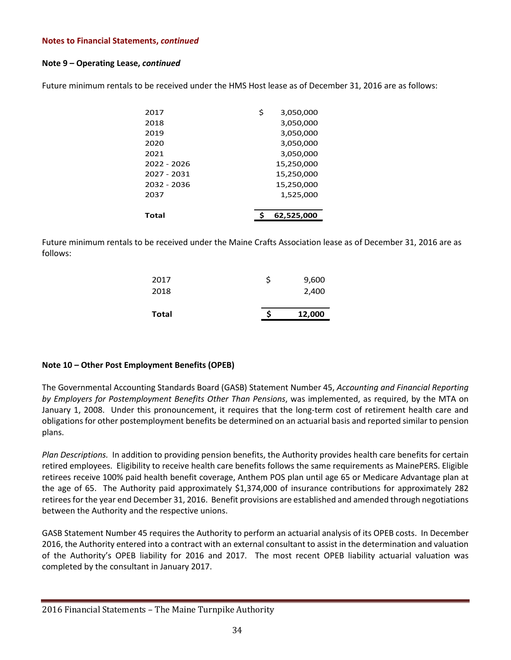#### **Note 9 – Operating Lease,** *continued*

Future minimum rentals to be received under the HMS Host lease as of December 31, 2016 are as follows:

| 2017        | \$<br>3,050,000 |  |
|-------------|-----------------|--|
| 2018        | 3,050,000       |  |
| 2019        | 3,050,000       |  |
| 2020        | 3,050,000       |  |
| 2021        | 3,050,000       |  |
| 2022 - 2026 | 15,250,000      |  |
| 2027 - 2031 | 15,250,000      |  |
| 2032 - 2036 | 15,250,000      |  |
| 2037        | 1,525,000       |  |
|             |                 |  |
| Total       | 62,525,000      |  |

Future minimum rentals to be received under the Maine Crafts Association lease as of December 31, 2016 are as follows:

| 12,000 |
|--------|
|        |
| 2,400  |
| 9,600  |
|        |

#### **Note 10 – Other Post Employment Benefits (OPEB)**

The Governmental Accounting Standards Board (GASB) Statement Number 45, *Accounting and Financial Reporting by Employers for Postemployment Benefits Other Than Pensions*, was implemented, as required, by the MTA on January 1, 2008. Under this pronouncement, it requires that the long-term cost of retirement health care and obligations for other postemployment benefits be determined on an actuarial basis and reported similar to pension plans.

*Plan Descriptions.* In addition to providing pension benefits, the Authority provides health care benefits for certain retired employees. Eligibility to receive health care benefits follows the same requirements as MainePERS. Eligible retirees receive 100% paid health benefit coverage, Anthem POS plan until age 65 or Medicare Advantage plan at the age of 65. The Authority paid approximately \$1,374,000 of insurance contributions for approximately 282 retireesfor the year end December 31, 2016. Benefit provisions are established and amended through negotiations between the Authority and the respective unions.

GASB Statement Number 45 requires the Authority to perform an actuarial analysis of its OPEB costs. In December 2016, the Authority entered into a contract with an external consultant to assist in the determination and valuation of the Authority's OPEB liability for 2016 and 2017. The most recent OPEB liability actuarial valuation was completed by the consultant in January 2017.

<sup>2016</sup> Financial Statements – The Maine Turnpike Authority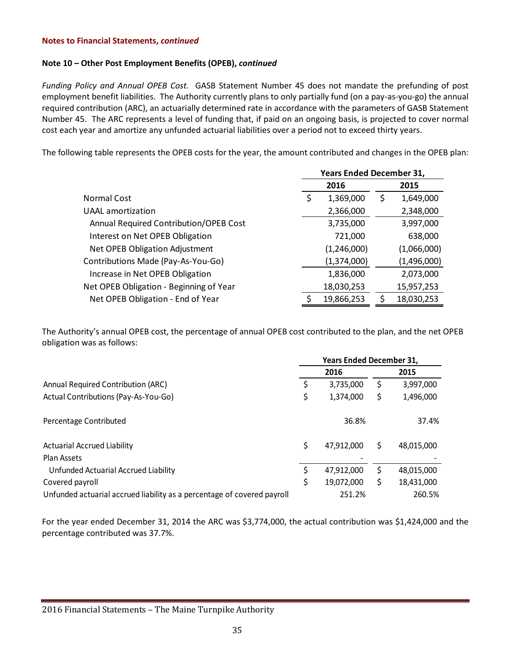#### **Note 10 – Other Post Employment Benefits (OPEB),** *continued*

*Funding Policy and Annual OPEB Cost.* GASB Statement Number 45 does not mandate the prefunding of post employment benefit liabilities. The Authority currently plans to only partially fund (on a pay-as-you-go) the annual required contribution (ARC), an actuarially determined rate in accordance with the parameters of GASB Statement Number 45. The ARC represents a level of funding that, if paid on an ongoing basis, is projected to cover normal cost each year and amortize any unfunded actuarial liabilities over a period not to exceed thirty years.

The following table represents the OPEB costs for the year, the amount contributed and changes in the OPEB plan:

|                                         | <b>Years Ended December 31,</b> |             |      |             |  |
|-----------------------------------------|---------------------------------|-------------|------|-------------|--|
|                                         |                                 | 2016        | 2015 |             |  |
| <b>Normal Cost</b>                      | \$                              | 1,369,000   | \$   | 1,649,000   |  |
| <b>UAAL</b> amortization                |                                 | 2,366,000   |      | 2,348,000   |  |
| Annual Required Contribution/OPEB Cost  |                                 | 3,735,000   |      | 3,997,000   |  |
| Interest on Net OPEB Obligation         |                                 | 721,000     |      | 638,000     |  |
| Net OPEB Obligation Adjustment          |                                 | (1,246,000) |      | (1,066,000) |  |
| Contributions Made (Pay-As-You-Go)      |                                 | (1,374,000) |      | (1,496,000) |  |
| Increase in Net OPEB Obligation         |                                 | 1,836,000   |      | 2,073,000   |  |
| Net OPEB Obligation - Beginning of Year |                                 | 18,030,253  |      | 15,957,253  |  |
| Net OPEB Obligation - End of Year       | ς                               | 19,866,253  |      | 18,030,253  |  |

The Authority's annual OPEB cost, the percentage of annual OPEB cost contributed to the plan, and the net OPEB obligation was as follows:

|                                                                         | <b>Years Ended December 31,</b> |            |    |            |  |  |  |
|-------------------------------------------------------------------------|---------------------------------|------------|----|------------|--|--|--|
|                                                                         |                                 | 2016       |    | 2015       |  |  |  |
| Annual Required Contribution (ARC)                                      |                                 | 3,735,000  | \$ | 3,997,000  |  |  |  |
| Actual Contributions (Pay-As-You-Go)                                    | \$                              | 1,374,000  | \$ | 1,496,000  |  |  |  |
| Percentage Contributed                                                  |                                 | 36.8%      |    | 37.4%      |  |  |  |
| <b>Actuarial Accrued Liability</b>                                      | Ś                               | 47,912,000 | \$ | 48,015,000 |  |  |  |
| Plan Assets                                                             |                                 |            |    |            |  |  |  |
| Unfunded Actuarial Accrued Liability                                    |                                 | 47,912,000 | \$ | 48,015,000 |  |  |  |
| Covered payroll                                                         |                                 | 19,072,000 | \$ | 18,431,000 |  |  |  |
| Unfunded actuarial accrued liability as a percentage of covered payroll |                                 | 251.2%     |    | 260.5%     |  |  |  |

For the year ended December 31, 2014 the ARC was \$3,774,000, the actual contribution was \$1,424,000 and the percentage contributed was 37.7%.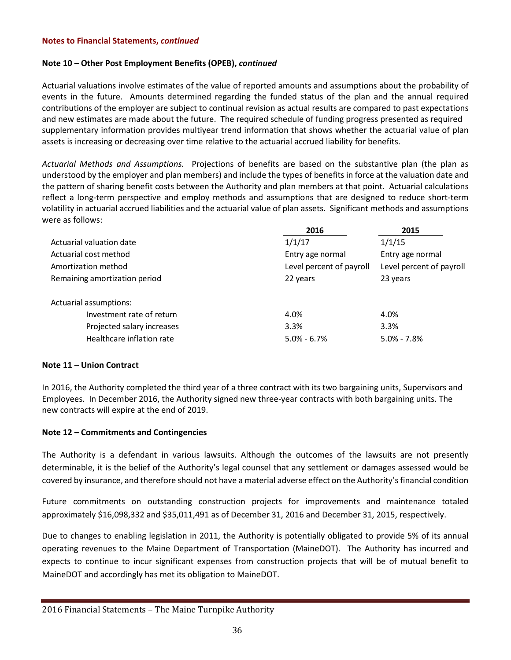#### **Note 10 – Other Post Employment Benefits (OPEB),** *continued*

Actuarial valuations involve estimates of the value of reported amounts and assumptions about the probability of events in the future. Amounts determined regarding the funded status of the plan and the annual required contributions of the employer are subject to continual revision as actual results are compared to past expectations and new estimates are made about the future. The required schedule of funding progress presented as required supplementary information provides multiyear trend information that shows whether the actuarial value of plan assets is increasing or decreasing over time relative to the actuarial accrued liability for benefits.

*Actuarial Methods and Assumptions.* Projections of benefits are based on the substantive plan (the plan as understood by the employer and plan members) and include the types of benefits in force at the valuation date and the pattern of sharing benefit costs between the Authority and plan members at that point. Actuarial calculations reflect a long-term perspective and employ methods and assumptions that are designed to reduce short-term volatility in actuarial accrued liabilities and the actuarial value of plan assets. Significant methods and assumptions were as follows:

|                               | 2016                     | 2015                     |
|-------------------------------|--------------------------|--------------------------|
| Actuarial valuation date      | 1/1/17                   | 1/1/15                   |
| Actuarial cost method         | Entry age normal         | Entry age normal         |
| Amortization method           | Level percent of payroll | Level percent of payroll |
| Remaining amortization period | 22 years                 | 23 years                 |
| Actuarial assumptions:        |                          |                          |
| Investment rate of return     | 4.0%                     | 4.0%                     |
| Projected salary increases    | 3.3%                     | 3.3%                     |
| Healthcare inflation rate     | $5.0\% - 6.7\%$          | $5.0\% - 7.8\%$          |

#### **Note 11 – Union Contract**

In 2016, the Authority completed the third year of a three contract with its two bargaining units, Supervisors and Employees. In December 2016, the Authority signed new three-year contracts with both bargaining units. The new contracts will expire at the end of 2019.

#### **Note 12 – Commitments and Contingencies**

The Authority is a defendant in various lawsuits. Although the outcomes of the lawsuits are not presently determinable, it is the belief of the Authority's legal counsel that any settlement or damages assessed would be covered by insurance, and therefore should not have a material adverse effect on the Authority's financial condition

Future commitments on outstanding construction projects for improvements and maintenance totaled approximately \$16,098,332 and \$35,011,491 as of December 31, 2016 and December 31, 2015, respectively.

Due to changes to enabling legislation in 2011, the Authority is potentially obligated to provide 5% of its annual operating revenues to the Maine Department of Transportation (MaineDOT). The Authority has incurred and expects to continue to incur significant expenses from construction projects that will be of mutual benefit to MaineDOT and accordingly has met its obligation to MaineDOT.

<sup>2016</sup> Financial Statements – The Maine Turnpike Authority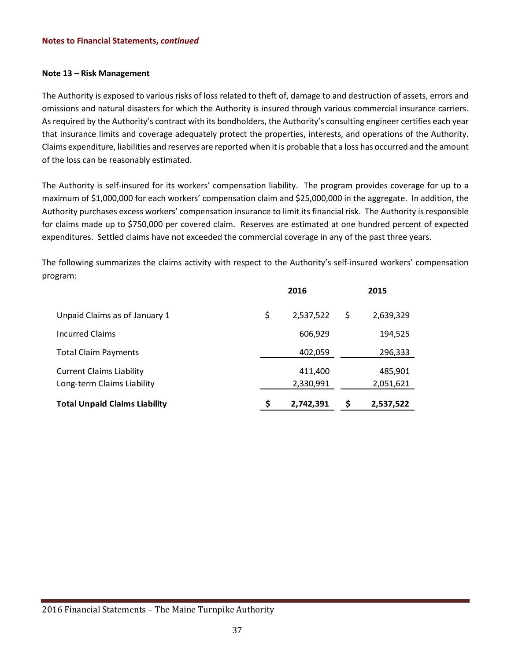#### **Note 13 – Risk Management**

The Authority is exposed to various risks of loss related to theft of, damage to and destruction of assets, errors and omissions and natural disasters for which the Authority is insured through various commercial insurance carriers. As required by the Authority's contract with its bondholders, the Authority's consulting engineer certifies each year that insurance limits and coverage adequately protect the properties, interests, and operations of the Authority. Claims expenditure, liabilities and reserves are reported when it is probable that a loss has occurred and the amount of the loss can be reasonably estimated.

The Authority is self-insured for its workers' compensation liability. The program provides coverage for up to a maximum of \$1,000,000 for each workers' compensation claim and \$25,000,000 in the aggregate. In addition, the Authority purchases excess workers' compensation insurance to limit its financial risk. The Authority is responsible for claims made up to \$750,000 per covered claim. Reserves are estimated at one hundred percent of expected expenditures. Settled claims have not exceeded the commercial coverage in any of the past three years.

The following summarizes the claims activity with respect to the Authority's self-insured workers' compensation program:

|                                                               | 2016 |                      |   | 2015                 |
|---------------------------------------------------------------|------|----------------------|---|----------------------|
| Unpaid Claims as of January 1                                 | \$   | 2,537,522            | S | 2,639,329            |
| <b>Incurred Claims</b>                                        |      | 606,929              |   | 194,525              |
| <b>Total Claim Payments</b>                                   |      | 402,059              |   | 296,333              |
| <b>Current Claims Liability</b><br>Long-term Claims Liability |      | 411,400<br>2,330,991 |   | 485,901<br>2,051,621 |
| <b>Total Unpaid Claims Liability</b>                          |      | 2,742,391            |   | 2,537,522            |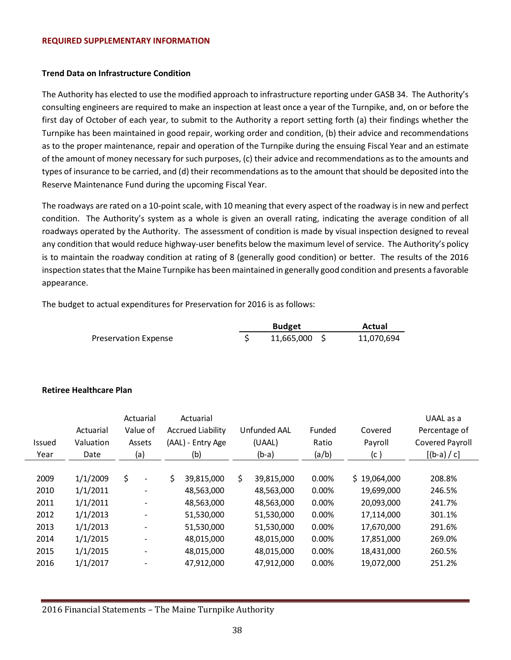#### **REQUIRED SUPPLEMENTARY INFORMATION**

#### **Trend Data on Infrastructure Condition**

The Authority has elected to use the modified approach to infrastructure reporting under GASB 34. The Authority's consulting engineers are required to make an inspection at least once a year of the Turnpike, and, on or before the first day of October of each year, to submit to the Authority a report setting forth (a) their findings whether the Turnpike has been maintained in good repair, working order and condition, (b) their advice and recommendations as to the proper maintenance, repair and operation of the Turnpike during the ensuing Fiscal Year and an estimate of the amount of money necessary for such purposes, (c) their advice and recommendations as to the amounts and types of insurance to be carried, and (d) their recommendations as to the amount thatshould be deposited into the Reserve Maintenance Fund during the upcoming Fiscal Year.

The roadways are rated on a 10-point scale, with 10 meaning that every aspect of the roadway is in new and perfect condition. The Authority's system as a whole is given an overall rating, indicating the average condition of all roadways operated by the Authority. The assessment of condition is made by visual inspection designed to reveal any condition that would reduce highway-user benefits below the maximum level of service. The Authority's policy is to maintain the roadway condition at rating of 8 (generally good condition) or better. The results of the 2016 inspection states that the Maine Turnpike has been maintained in generally good condition and presents a favorable appearance.

The budget to actual expenditures for Preservation for 2016 is as follows:

|                             | <b>Budget</b> | Actual     |
|-----------------------------|---------------|------------|
| <b>Preservation Expense</b> | 11,665,000 \$ | 11,070,694 |

#### **Retiree Healthcare Plan**

| <b>Issued</b><br>Year | Actuarial<br>Valuation<br>Date | Actuarial<br>Value of<br>Assets<br>(a) | Actuarial<br><b>Accrued Liability</b><br>(AAL) - Entry Age<br>(b) |            |                  |       | Unfunded AAL<br>(UAAL)<br>$(b-a)$ | Funded<br>Ratio<br>(a/b) | Covered<br>Payroll<br>(c ) | UAAL as a<br>Percentage of<br>Covered Payroll<br>$[(b-a) / c]$ |
|-----------------------|--------------------------------|----------------------------------------|-------------------------------------------------------------------|------------|------------------|-------|-----------------------------------|--------------------------|----------------------------|----------------------------------------------------------------|
|                       |                                |                                        |                                                                   |            |                  |       |                                   |                          |                            |                                                                |
| 2009                  | 1/1/2009                       | \$<br>$\overline{a}$                   | \$                                                                | 39,815,000 | \$<br>39,815,000 | 0.00% | \$19,064,000                      | 208.8%                   |                            |                                                                |
| 2010                  | 1/1/2011                       | $\overline{\phantom{a}}$               |                                                                   | 48,563,000 | 48,563,000       | 0.00% | 19,699,000                        | 246.5%                   |                            |                                                                |
| 2011                  | 1/1/2011                       | ۰                                      |                                                                   | 48,563,000 | 48,563,000       | 0.00% | 20,093,000                        | 241.7%                   |                            |                                                                |
| 2012                  | 1/1/2013                       | $\overline{\phantom{0}}$               |                                                                   | 51,530,000 | 51,530,000       | 0.00% | 17,114,000                        | 301.1%                   |                            |                                                                |
| 2013                  | 1/1/2013                       | $\overline{\phantom{0}}$               |                                                                   | 51,530,000 | 51,530,000       | 0.00% | 17,670,000                        | 291.6%                   |                            |                                                                |
| 2014                  | 1/1/2015                       |                                        |                                                                   | 48,015,000 | 48,015,000       | 0.00% | 17,851,000                        | 269.0%                   |                            |                                                                |
| 2015                  | 1/1/2015                       | $\overline{\phantom{0}}$               |                                                                   | 48,015,000 | 48,015,000       | 0.00% | 18,431,000                        | 260.5%                   |                            |                                                                |
| 2016                  | 1/1/2017                       |                                        |                                                                   | 47,912,000 | 47,912,000       | 0.00% | 19,072,000                        | 251.2%                   |                            |                                                                |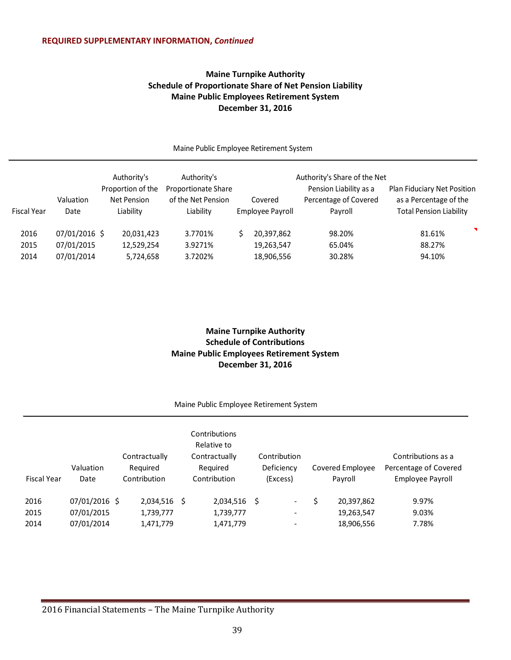# **Maine Turnpike Authority Schedule of Proportionate Share of Net Pension Liability Maine Public Employees Retirement System December 31, 2016**

|                      |                                           | Authority's                                   | Authority's                                            |                                        | Authority's Share of the Net                               |                                                                                         |
|----------------------|-------------------------------------------|-----------------------------------------------|--------------------------------------------------------|----------------------------------------|------------------------------------------------------------|-----------------------------------------------------------------------------------------|
| <b>Fiscal Year</b>   | Valuation<br>Date                         | Proportion of the<br>Net Pension<br>Liability | Proportionate Share<br>of the Net Pension<br>Liability | Covered<br>Employee Payroll            | Pension Liability as a<br>Percentage of Covered<br>Payroll | Plan Fiduciary Net Position<br>as a Percentage of the<br><b>Total Pension Liability</b> |
| 2016<br>2015<br>2014 | 07/01/2016 \$<br>07/01/2015<br>07/01/2014 | 20,031,423<br>12,529,254<br>5,724,658         | 3.7701%<br>3.9271%<br>3.7202%                          | 20,397,862<br>19,263,547<br>18,906,556 | 98.20%<br>65.04%<br>30.28%                                 | ◥<br>81.61%<br>88.27%<br>94.10%                                                         |

Maine Public Employee Retirement System

# **Maine Turnpike Authority Schedule of Contributions Maine Public Employees Retirement System December 31, 2016**

#### Maine Public Employee Retirement System

| <b>Fiscal Year</b> | Valuation<br>Date | Contractually<br>Required<br>Contribution |   | Contributions<br>Relative to<br>Contractually<br>Required<br>Contribution |    | Contribution<br>Deficiency<br>(Excess) |   | Covered Employee<br>Payroll | Contributions as a<br>Percentage of Covered<br>Employee Payroll |
|--------------------|-------------------|-------------------------------------------|---|---------------------------------------------------------------------------|----|----------------------------------------|---|-----------------------------|-----------------------------------------------------------------|
| 2016               | 07/01/2016 \$     | 2,034,516                                 | S | 2,034,516                                                                 | -S | $\overline{\phantom{a}}$               | S | 20,397,862                  | 9.97%                                                           |
| 2015               | 07/01/2015        | 1,739,777                                 |   | 1,739,777                                                                 |    | $\overline{\phantom{a}}$               |   | 19,263,547                  | 9.03%                                                           |
| 2014               | 07/01/2014        | 1,471,779                                 |   | 1,471,779                                                                 |    |                                        |   | 18,906,556                  | 7.78%                                                           |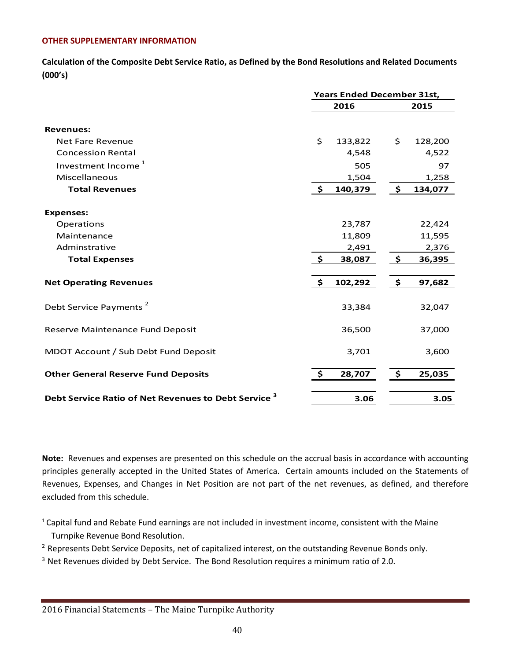### **OTHER SUPPLEMENTARY INFORMATION**

**Calculation of the Composite Debt Service Ratio, as Defined by the Bond Resolutions and Related Documents (000's)**

|                                                           | <b>Years Ended December 31st,</b> |         |                      |         |  |
|-----------------------------------------------------------|-----------------------------------|---------|----------------------|---------|--|
|                                                           |                                   | 2016    | 2015                 |         |  |
| <b>Revenues:</b>                                          |                                   |         |                      |         |  |
| <b>Net Fare Revenue</b>                                   | \$                                | 133,822 | \$                   | 128,200 |  |
| <b>Concession Rental</b>                                  |                                   | 4,548   |                      | 4,522   |  |
| Investment Income <sup>1</sup>                            |                                   | 505     |                      | 97      |  |
| Miscellaneous                                             |                                   | 1,504   |                      | 1,258   |  |
| <b>Total Revenues</b>                                     | $\mathsf{S}$                      | 140,379 | $\ddot{\bm{s}}$      | 134,077 |  |
| <b>Expenses:</b>                                          |                                   |         |                      |         |  |
| Operations                                                |                                   | 23,787  |                      | 22,424  |  |
| Maintenance                                               |                                   | 11,809  |                      | 11,595  |  |
| Adminstrative                                             |                                   | 2,491   |                      | 2,376   |  |
| <b>Total Expenses</b>                                     | \$                                | 38,087  | $\tilde{\mathbf{z}}$ | 36,395  |  |
| <b>Net Operating Revenues</b>                             | $\frac{1}{2}$                     | 102,292 | $\ddot{\bm{\zeta}}$  | 97,682  |  |
| Debt Service Payments <sup>2</sup>                        |                                   | 33,384  |                      | 32,047  |  |
| Reserve Maintenance Fund Deposit                          |                                   | 36,500  |                      | 37,000  |  |
| MDOT Account / Sub Debt Fund Deposit                      |                                   | 3,701   |                      | 3,600   |  |
| <b>Other General Reserve Fund Deposits</b>                | \$                                | 28,707  | \$                   | 25,035  |  |
| <b>Debt Service Ratio of Net Revenues to Debt Service</b> |                                   | 3.06    |                      | 3.05    |  |

**Note:** Revenues and expenses are presented on this schedule on the accrual basis in accordance with accounting principles generally accepted in the United States of America. Certain amounts included on the Statements of Revenues, Expenses, and Changes in Net Position are not part of the net revenues, as defined, and therefore excluded from this schedule.

<sup>1</sup> Capital fund and Rebate Fund earnings are not included in investment income, consistent with the Maine Turnpike Revenue Bond Resolution.

<sup>2</sup> Represents Debt Service Deposits, net of capitalized interest, on the outstanding Revenue Bonds only.

<sup>3</sup> Net Revenues divided by Debt Service. The Bond Resolution requires a minimum ratio of 2.0.